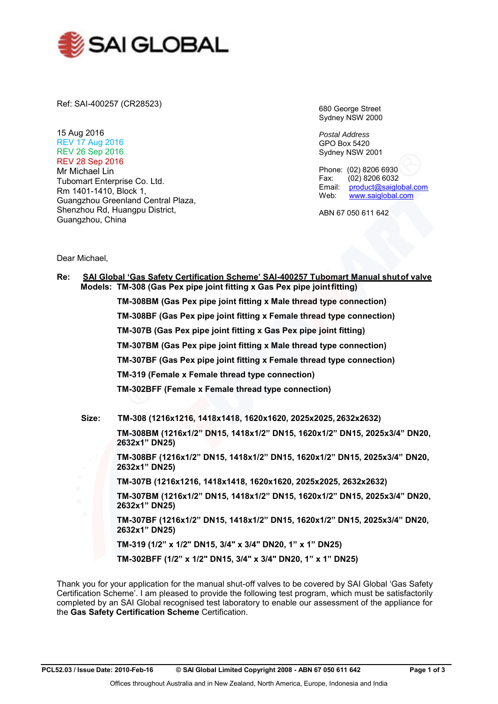

Ref: SAI-400257 (CR28523)

15 Aug 2016 REV 17 Aug 2016 REV 26 Sep 2016 REV 28 Sep 2016 Mr Michael Lin Tubomart Enterprise Co. Ltd. Rm 1401-1410, Block 1, Guangzhou Greenland Central Plaza, Shenzhou Rd, Huangpu District, Guangzhou, China

680 George Street Sydney NSW 2000

*Postal Address* GPO Box 5420 Sydney NSW 2001

Phone: (02) 8206 6930<br>Fax: (02) 8206 6032  $(02)$  8206 6032 Email: [product@saiglobal.com](mailto:product@saiglobal.com)<br>Web: www.saiglobal.com [www.saiglobal.com](http://www.saiglobal.com/)

ABN 67 050 611 642

Dear Michael,

| Re:       |       | SAI Global 'Gas Safety Certification Scheme' SAI-400257 Tubomart Manual shut of valve<br>Models: TM-308 (Gas Pex pipe joint fitting x Gas Pex pipe joint fitting) |
|-----------|-------|-------------------------------------------------------------------------------------------------------------------------------------------------------------------|
|           |       | TM-308BM (Gas Pex pipe joint fitting x Male thread type connection)                                                                                               |
|           |       | TM-308BF (Gas Pex pipe joint fitting x Female thread type connection)                                                                                             |
|           |       | TM-307B (Gas Pex pipe joint fitting x Gas Pex pipe joint fitting)                                                                                                 |
|           |       | TM-307BM (Gas Pex pipe joint fitting x Male thread type connection)                                                                                               |
|           |       | TM-307BF (Gas Pex pipe joint fitting x Female thread type connection)                                                                                             |
|           |       | TM-319 (Female x Female thread type connection)                                                                                                                   |
|           |       | <b>TM-302BFF (Female x Female thread type connection)</b>                                                                                                         |
|           |       |                                                                                                                                                                   |
|           | Size: | TM-308 (1216x1216, 1418x1418, 1620x1620, 2025x2025, 2632x2632)                                                                                                    |
|           |       | TM-308BM (1216x1/2" DN15, 1418x1/2" DN15, 1620x1/2" DN15, 2025x3/4" DN20,<br>2632x1" DN25)                                                                        |
|           |       | TM-308BF (1216x1/2" DN15, 1418x1/2" DN15, 1620x1/2" DN15, 2025x3/4" DN20,<br>2632x1" DN25)                                                                        |
| $\bullet$ |       | TM-307B (1216x1216, 1418x1418, 1620x1620, 2025x2025, 2632x2632)                                                                                                   |
| $\bullet$ |       | TM-307BM (1216x1/2" DN15, 1418x1/2" DN15, 1620x1/2" DN15, 2025x3/4" DN20,<br>2632x1" DN25)                                                                        |
|           |       | TM-307BF (1216x1/2" DN15, 1418x1/2" DN15, 1620x1/2" DN15, 2025x3/4" DN20,<br>2632x1" DN25)                                                                        |
|           |       | TM-319 (1/2" x 1/2" DN15, 3/4" x 3/4" DN20, 1" x 1" DN25)                                                                                                         |
|           |       | TM-302BFF (1/2" x 1/2" DN15, 3/4" x 3/4" DN20, 1" x 1" DN25)                                                                                                      |

Thank you for your application for the manual shut-off valves to be covered by SAI Global 'Gas Safety Certification Scheme'. I am pleased to provide the following test program, which must be satisfactorily completed by an SAI Global recognised test laboratory to enable our assessment of the appliance for the **Gas Safety Certification Scheme** Certification.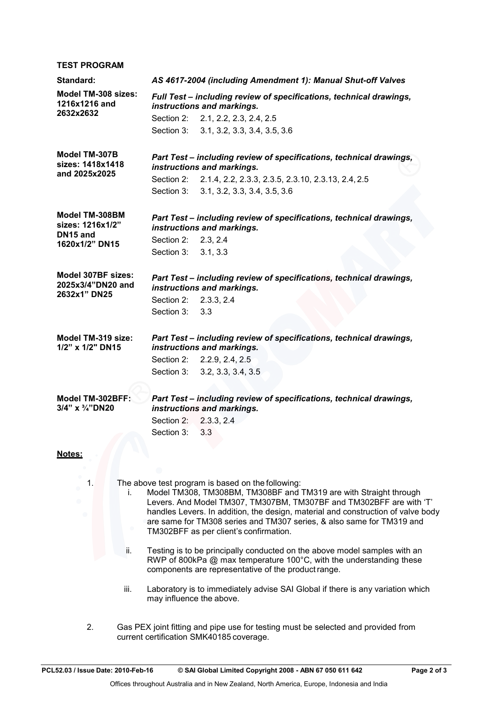#### **TEST PROGRAM Standard:** *AS 4617-2004 (including Amendment 1): Manual Shut-off Valves* **Model TM-308 sizes: 1216x1216 and 2632x2632** *Full Test – including review of specifications, technical drawings, instructions and markings.* Section 2: 2.1, 2.2, 2.3, 2.4, 2.5 Section 3: 3.1, 3.2, 3.3, 3.4, 3.5, 3.6 **Model TM-307B sizes: 1418x1418 and 2025x2025** *Part Test – including review of specifications, technical drawings, instructions and markings.* Section 2: 2.1.4, 2.2, 2.3.3, 2.3.5, 2.3.10, 2.3.13, 2.4, 2.5 Section 3: 3.1, 3.2, 3.3, 3.4, 3.5, 3.6 **Model TM-308BM sizes: 1216x1/2" DN15 and 1620x1/2" DN15** *Part Test – including review of specifications, technical drawings, instructions and markings.* Section 2: 2.3, 2.4 Section 3: 3.1, 3.3 **Model 307BF sizes: 2025x3/4"DN20 and 2632x1" DN25** *Part Test – including review of specifications, technical drawings, instructions and markings.* Section 2: 2.3.3, 2.4 Section 3: 3.3 **Model TM-319 size: 1/2" x 1/2" DN15** *Part Test – including review of specifications, technical drawings, instructions and markings.* Section 2: 2.2.9, 2.4, 2.5 Section 3: 3.2, 3.3, 3.4, 3.5 **Model TM-302BFF: 3/4" x ¾"DN20** *Part Test – including review of specifications, technical drawings, instructions and markings.* Section 2: 2.3.3, 2.4 Section 3: 3.3 **Notes:**

- 1. The above test program is based on the following:
	- i. Model TM308, TM308BM, TM308BF and TM319 are with Straight through Levers. And Model TM307, TM307BM, TM307BF and TM302BFF are with 'T' handles Levers. In addition, the design, material and construction of valve body are same for TM308 series and TM307 series, & also same for TM319 and TM302BFF as per client's confirmation.
	- ii. Testing is to be principally conducted on the above model samples with an RWP of 800kPa @ max temperature 100°C, with the understanding these components are representative of the product range.
	- iii. Laboratory is to immediately advise SAI Global if there is any variation which may influence the above.
- 2. Gas PEX joint fitting and pipe use for testing must be selected and provided from current certification SMK40185 coverage.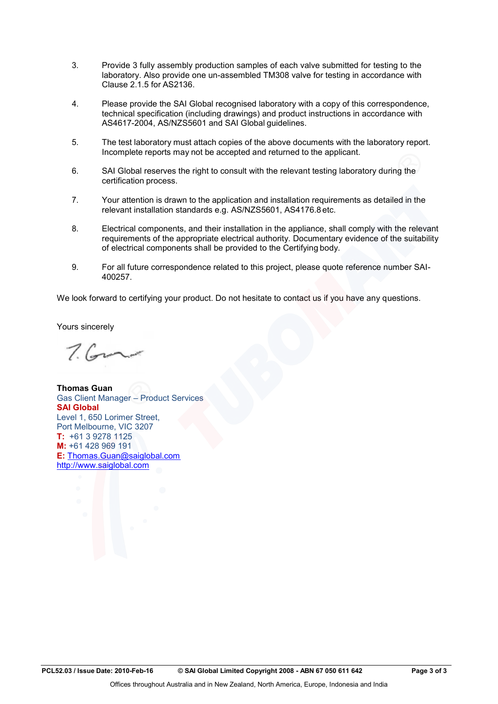- 3. Provide 3 fully assembly production samples of each valve submitted for testing to the laboratory. Also provide one un-assembled TM308 valve for testing in accordance with Clause 2.1.5 for AS2136.
- 4. Please provide the SAI Global recognised laboratory with a copy of this correspondence, technical specification (including drawings) and product instructions in accordance with AS4617-2004, AS/NZS5601 and SAI Global guidelines.
- 5. The test laboratory must attach copies of the above documents with the laboratory report. Incomplete reports may not be accepted and returned to the applicant.
- 6. SAI Global reserves the right to consult with the relevant testing laboratory during the certification process.
- 7. Your attention is drawn to the application and installation requirements as detailed in the relevant installation standards e.g. AS/NZS5601, AS4176.8 etc.
- 8. Electrical components, and their installation in the appliance, shall comply with the relevant requirements of the appropriate electrical authority. Documentary evidence of the suitability of electrical components shall be provided to the Certifying body.
- 9. For all future correspondence related to this project, please quote reference number SAI-400257.

We look forward to certifying your product. Do not hesitate to contact us if you have any questions.

Yours sincerely

 $7.6$ 

**Thomas Guan** Gas Client Manager – Product Services **SAI Global** Level 1, 650 Lorimer Street, Port Melbourne, VIC 3207 **T:** +61 3 9278 1125 **M:** +61 428 969 191 **E:** [Thomas.Guan@saiglobal.com](mailto:Thomas.Guan@saiglobal.com) [http://www.saiglobal.com](http://www.saiglobal.com/)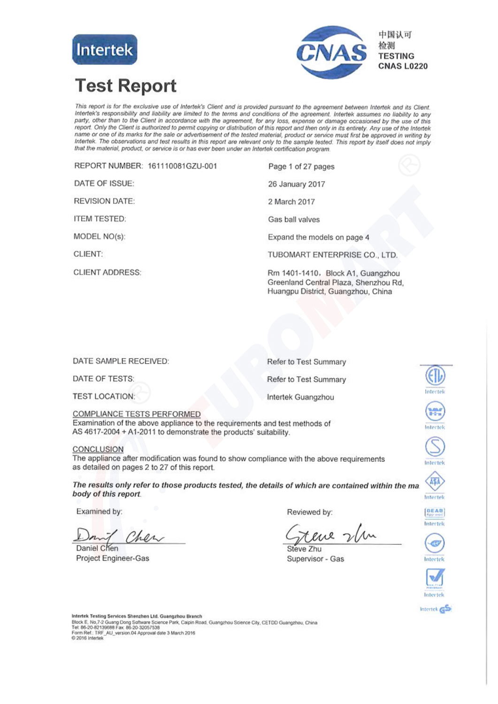



# **Test Report**

This report is for the exclusive use of Intertek's Client and is provided pursuant to the agreement between Intertek and its Client. This report is for the exclusive use of intertexts chemit and is provided pursuant to the agreement between intertext and its chemit.<br>Intertek's responsibility and liability are limited to the terms and conditions of the a name or one of its marks for the sale or advertisement of the tested material, product or service must first be approved in writing by Intertek. The observations and test results in this report are relevant only to the sample tested. This report by itself does not imply that the material, product, or service is or has ever been under an Intertek certification program.

REPORT NUMBER: 161110081GZU-001 Page 1 of 27 pages DATE OF ISSUE: 26 January 2017 **REVISION DATE:** 2 March 2017 **ITEM TESTED:** Gas ball valves MODEL NO(s): Expand the models on page 4 CLIENT: TUBOMART ENTERPRISE CO., LTD. **CLIENT ADDRESS:** Rm 1401-1410, Block A1, Guangzhou Greenland Central Plaza, Shenzhou Rd,

DATE SAMPLE RECEIVED: Refer to Test Summary DATE OF TESTS: Refer to Test Summary **TEST LOCATION:** Intertek Guangzhou

COMPLIANCE TESTS PERFORMED Examination of the above appliance to the requirements and test methods of AS 4617-2004 + A1-2011 to demonstrate the products' suitability.

#### CONCLUSION

The appliance after modification was found to show compliance with the above requirements as detailed on pages 2 to 27 of this report.

The results only refer to those products tested, the details of which are contained within the ma body of this report.

Examined by:

Cher

Daniel Chen Project Engineer-Gas

Reviewed by:

eve 2

Huangpu District, Guangzhou, China

Steve Zhu Supervisor - Gas



Intertek GS

Intertel

H.

ntertel

nlectel

A\$A

Intertek

DEAD

Intertek

G

Intertek

Intertek Testing Services Shenzhen Ltd. Guangzhou Branch Block E, No,7-2 Guang Dong Software Science Park, Calpin Road, Guangzhou Science City, CETDD Guangzhou, China<br>Tet: 86-20-82139688 Fax: 86-20-32057538 Form Ref.: TRF\_AU\_version.04 Approval date 3 March 2016<br>© 2016 Intertek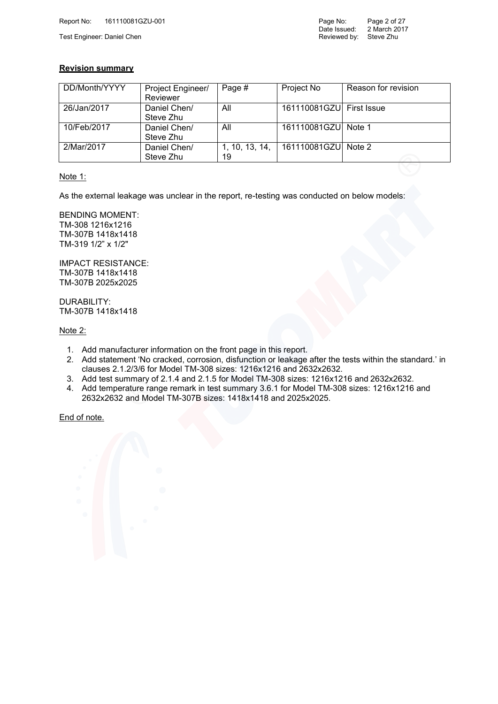#### **Revision summary**

| DD/Month/YYYY | Project Engineer/ | Page #         | Project No               | Reason for revision |
|---------------|-------------------|----------------|--------------------------|---------------------|
|               | Reviewer          |                |                          |                     |
| 26/Jan/2017   | Daniel Chen/      | All            | 161110081GZU First Issue |                     |
|               | Steve Zhu         |                |                          |                     |
| 10/Feb/2017   | Daniel Chen/      | All            | 161110081GZU Note 1      |                     |
|               | Steve Zhu         |                |                          |                     |
| 2/Mar/2017    | Daniel Chen/      | 1, 10, 13, 14, | 161110081GZU Note 2      |                     |
|               | Steve Zhu         | 19             |                          |                     |

#### Note 1:

As the external leakage was unclear in the report, re-testing was conducted on below models:

BENDING MOMENT: TM-308 1216x1216 TM-307B 1418x1418 TM-319 1/2" x 1/2"

IMPACT RESISTANCE: TM-307B 1418x1418 TM-307B 2025x2025

DURABILITY: TM-307B 1418x1418

Note 2:

- 1. Add manufacturer information on the front page in this report.
- 2. Add statement 'No cracked, corrosion, disfunction or leakage after the tests within the standard.' in clauses 2.1.2/3/6 for Model TM-308 sizes: 1216x1216 and 2632x2632.
- 3. Add test summary of 2.1.4 and 2.1.5 for Model TM-308 sizes: 1216x1216 and 2632x2632.
- 4. Add temperature range remark in test summary 3.6.1 for Model TM-308 sizes: 1216x1216 and 2632x2632 and Model TM-307B sizes: 1418x1418 and 2025x2025.

End of note.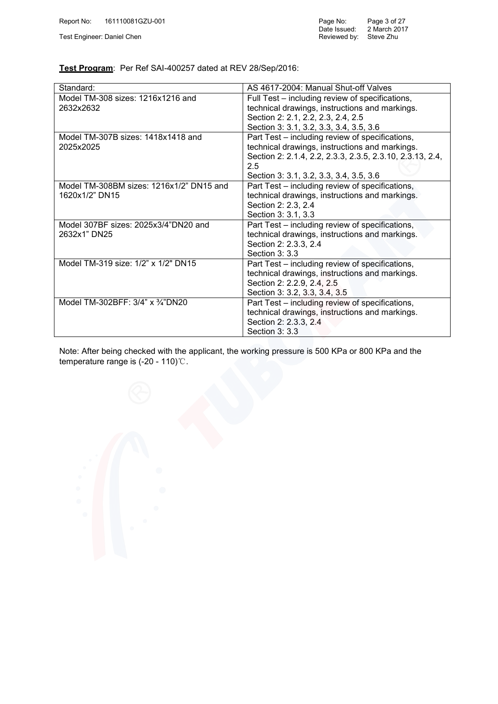Test Engineer: Daniel Chen

| Page No:     | Page 3 of 27 |
|--------------|--------------|
| Date Issued: | 2 March 2017 |
| Reviewed by: | Steve Zhu    |

#### **Test Program**: Per Ref SAI-400257 dated at REV 28/Sep/2016:

| Standard:                                | AS 4617-2004: Manual Shut-off Valves                      |
|------------------------------------------|-----------------------------------------------------------|
| Model TM-308 sizes: 1216x1216 and        | Full Test – including review of specifications,           |
| 2632x2632                                | technical drawings, instructions and markings.            |
|                                          | Section 2: 2.1, 2.2, 2.3, 2.4, 2.5                        |
|                                          | Section 3: 3.1, 3.2, 3.3, 3.4, 3.5, 3.6                   |
| Model TM-307B sizes: 1418x1418 and       | Part Test – including review of specifications,           |
| 2025x2025                                | technical drawings, instructions and markings.            |
|                                          | Section 2: 2.1.4, 2.2, 2.3.3, 2.3.5, 2.3.10, 2.3.13, 2.4, |
|                                          | 2.5                                                       |
|                                          | Section 3: 3.1, 3.2, 3.3, 3.4, 3.5, 3.6                   |
| Model TM-308BM sizes: 1216x1/2" DN15 and | Part Test – including review of specifications,           |
| 1620x1/2" DN15                           | technical drawings, instructions and markings.            |
|                                          | Section 2: 2.3, 2.4                                       |
|                                          | Section 3: 3.1, 3.3                                       |
| Model 307BF sizes: 2025x3/4"DN20 and     | Part Test - including review of specifications,           |
| 2632x1" DN25                             | technical drawings, instructions and markings.            |
|                                          | Section 2: 2.3.3, 2.4                                     |
|                                          | Section 3: 3.3                                            |
| Model TM-319 size: 1/2" x 1/2" DN15      | Part Test - including review of specifications,           |
|                                          | technical drawings, instructions and markings.            |
|                                          | Section 2: 2.2.9, 2.4, 2.5                                |
|                                          | Section 3: 3.2, 3.3, 3.4, 3.5                             |
| Model TM-302BFF: 3/4" x 3/4"DN20         | Part Test – including review of specifications,           |
|                                          | technical drawings, instructions and markings.            |
|                                          | Section 2: 2.3.3, 2.4                                     |
|                                          | Section 3: 3.3                                            |

Note: After being checked with the applicant, the working pressure is 500 KPa or 800 KPa and the temperature range is (-20 - 110)℃.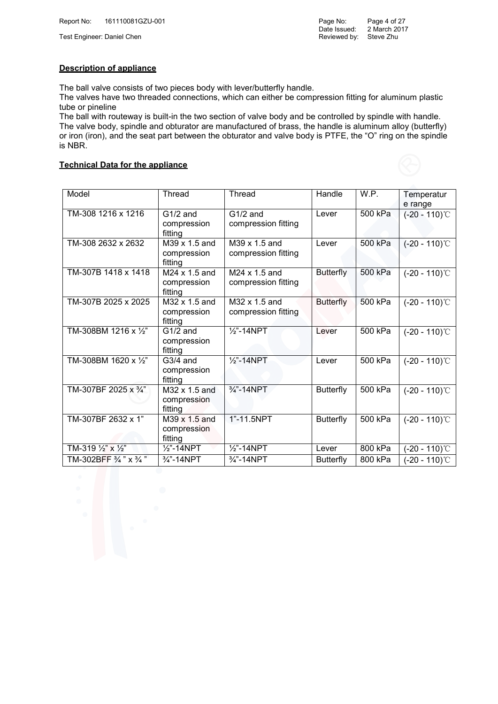Test Engineer: Daniel Chen

#### **Description of appliance**

The ball valve consists of two pieces body with lever/butterfly handle.

The valves have two threaded connections, which can either be compression fitting for aluminum plastic tube or pineline

The ball with routeway is built-in the two section of valve body and be controlled by spindle with handle. The valve body, spindle and obturator are manufactured of brass, the handle is aluminum alloy (butterfly) or iron (iron), and the seat part between the obturator and valve body is PTFE, the "O" ring on the spindle is NBR.

#### **Technical Data for the appliance**

| Model                                                | Thread                                  | Thread                               | Handle           | W.P.    | Temperatur<br>e range |
|------------------------------------------------------|-----------------------------------------|--------------------------------------|------------------|---------|-----------------------|
| TM-308 1216 x 1216                                   | G1/2 and<br>compression<br>fitting      | G1/2 and<br>compression fitting      | Lever            | 500 kPa | $(-20 - 110)$ °C      |
| TM-308 2632 x 2632                                   | M39 x 1.5 and<br>compression<br>fitting | M39 x 1.5 and<br>compression fitting | Lever            | 500 kPa | $(-20 - 110)$ °C      |
| TM-307B 1418 x 1418                                  | M24 x 1.5 and<br>compression<br>fitting | M24 x 1.5 and<br>compression fitting | <b>Butterfly</b> | 500 kPa | $(-20 - 110)$ °C      |
| TM-307B 2025 x 2025                                  | M32 x 1.5 and<br>compression<br>fitting | M32 x 1.5 and<br>compression fitting | <b>Butterfly</b> | 500 kPa | $(-20 - 110)$ °C      |
| TM-308BM 1216 x 1/2"                                 | $G1/2$ and<br>compression<br>fitting    | $\frac{1}{2}$ -14NPT                 | Lever            | 500 kPa | $(-20 - 110)$ °C      |
| TM-308BM 1620 x 1/2"                                 | $G3/4$ and<br>compression<br>fitting    | $\frac{1}{2}$ -14NPT                 | Lever            | 500 kPa | $(-20 - 110)$ °C      |
| TM-307BF 2025 x 3/4"                                 | M32 x 1.5 and<br>compression<br>fitting | $\frac{3}{4}$ "-14NPT                | <b>Butterfly</b> | 500 kPa | $(-20 - 110)$ °C      |
| TM-307BF 2632 x 1"                                   | M39 x 1.5 and<br>compression<br>fitting | 1"-11.5NPT                           | <b>Butterfly</b> | 500 kPa | $(-20 - 110)$ °C      |
| TM-319 1/2" x 1/2"                                   | $\frac{1}{2}$ -14NPT                    | $\frac{1}{2}$ -14NPT                 | Lever            | 800 kPa | $(-20 - 110)$ °C      |
| TM-302BFF $\frac{3}{4}$ " $\overline{\smash{X34}}$ " | 3/4"-14NPT                              | $\frac{3}{4}$ "-14NPT                | <b>Butterfly</b> | 800 kPa | $(-20 - 110)$ °C      |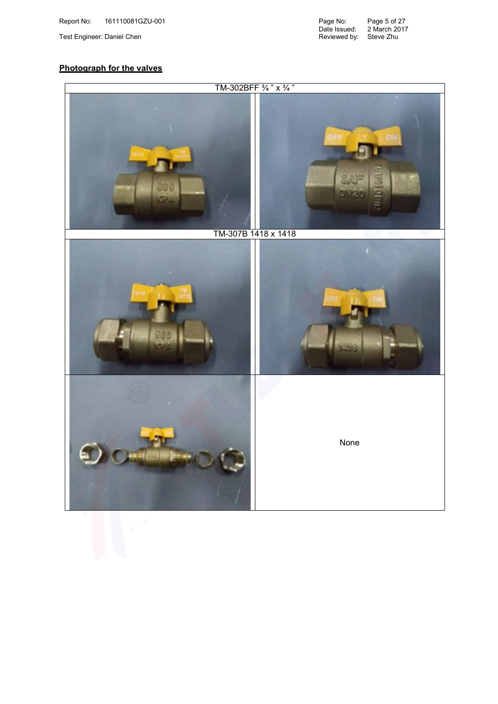Date Issued: Reviewed by: Page 5 of 27 2 March 2017 Test Engineer: Daniel Chen Steve Zhu Steve Zhu Steve Zhu Steve Zhu Steve Zhu Steve Zhu Steve Zhu Steve Zhu Steve

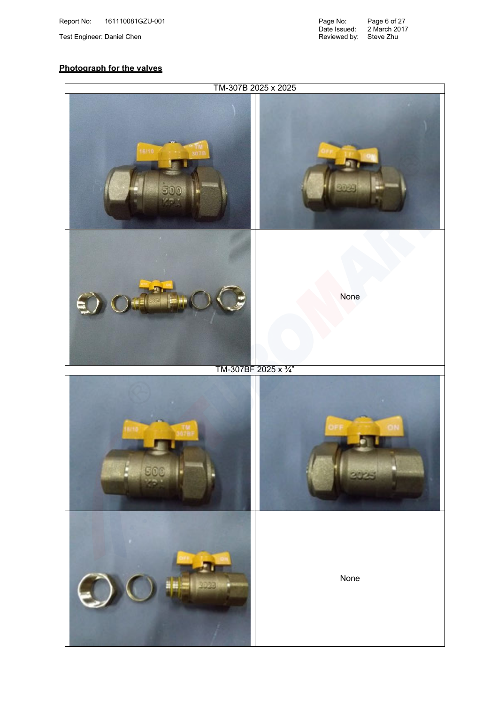Date Issued: Reviewed by: Page 6 of 27 2 March 2017 Test Engineer: Daniel Chen Steve Zhu Steve Zhu Steve Zhu Steve Zhu Steve Zhu Steve Zhu Steve Zhu Steve Zhu Steve

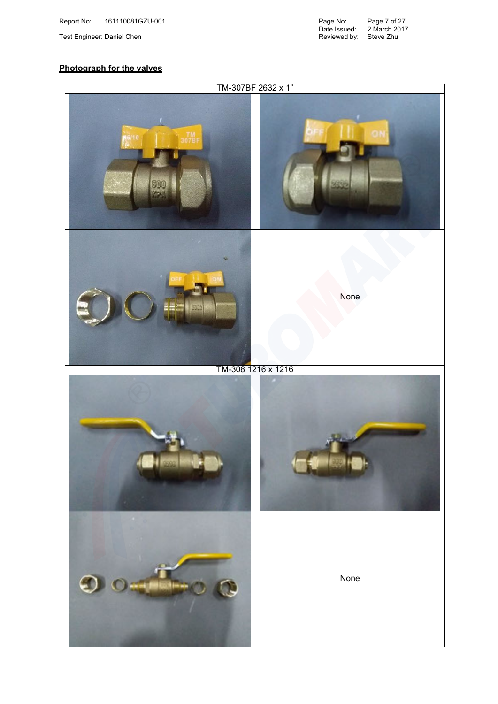Date Issued: Reviewed by: Page 7 of 27 2 March 2017 Test Engineer: Daniel Chen Steve Zhu Steve Zhu Steve Zhu Steve Zhu Steve Zhu Steve Zhu Steve Zhu Steve Zhu Steve

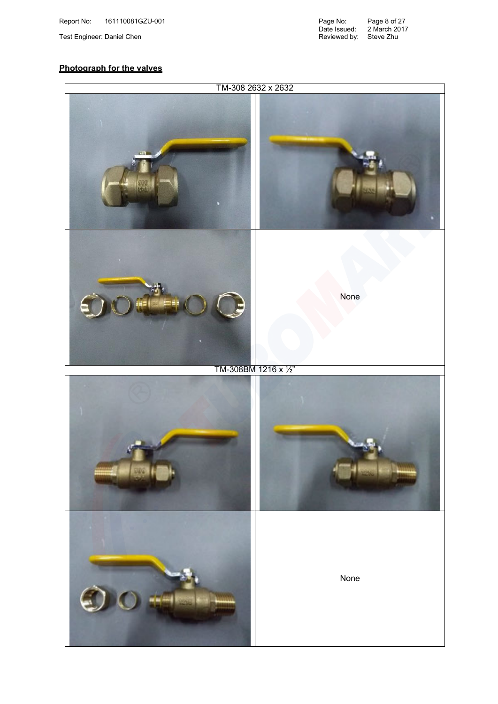Date Issued: Reviewed by: Page 8 of 27 2 March 2017 Test Engineer: Daniel Chen Steve Zhu Steve Zhu Steve Zhu Steve Zhu Steve Zhu Steve Zhu Steve Zhu Steve Zhu Steve

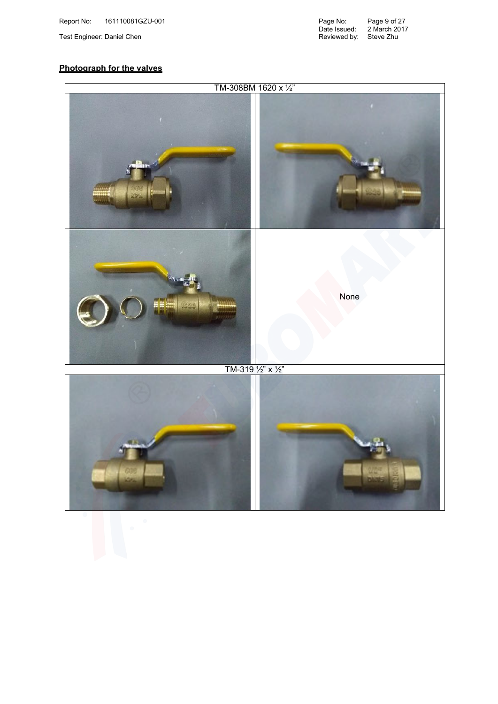Date Issued: Reviewed by: Page 9 of 27 2 March 2017 Test Engineer: Daniel Chen Steve Zhu Steve Zhu Steve Zhu Steve Zhu Steve Zhu Steve Zhu Steve Zhu Steve Zhu Steve

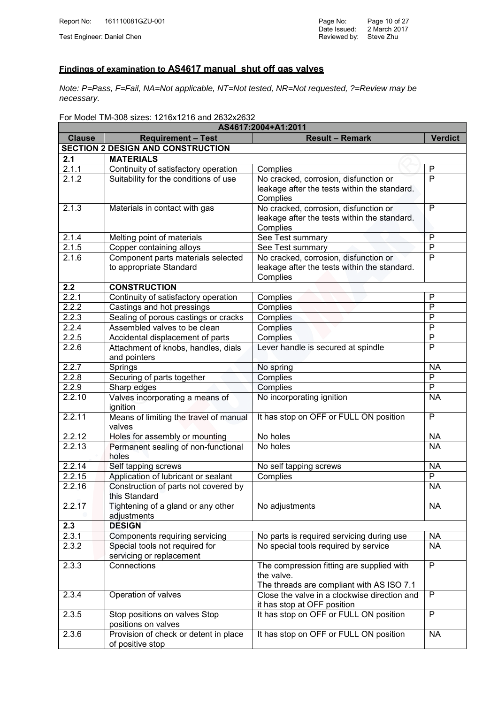### **Findings of examination to AS4617 manual shut off gas valves**

*Note: P=Pass, F=Fail, NA=Not applicable, NT=Not tested, NR=Not requested, ?=Review may be necessary.*

For Model TM-308 sizes: 1216x1216 and 2632x2632

| AS4617:2004+A1:2011 |                                                      |                                                                             |                |  |  |  |
|---------------------|------------------------------------------------------|-----------------------------------------------------------------------------|----------------|--|--|--|
| <b>Clause</b>       | <b>Requirement - Test</b>                            | <b>Result - Remark</b>                                                      | <b>Verdict</b> |  |  |  |
|                     | <b>SECTION 2 DESIGN AND CONSTRUCTION</b>             |                                                                             |                |  |  |  |
| 2.1                 | <b>MATERIALS</b>                                     |                                                                             |                |  |  |  |
| 2.1.1               | Continuity of satisfactory operation                 | Complies                                                                    | $\mathsf{P}$   |  |  |  |
| 2.1.2               | Suitability for the conditions of use                | No cracked, corrosion, disfunction or                                       | $\overline{P}$ |  |  |  |
|                     |                                                      | leakage after the tests within the standard.                                |                |  |  |  |
|                     |                                                      | Complies                                                                    |                |  |  |  |
| 2.1.3               | Materials in contact with gas                        | No cracked, corrosion, disfunction or                                       | $\overline{P}$ |  |  |  |
|                     |                                                      | leakage after the tests within the standard.                                |                |  |  |  |
|                     |                                                      | Complies                                                                    |                |  |  |  |
| 2.1.4               | Melting point of materials                           | See Test summary                                                            | P              |  |  |  |
| 2.1.5               | Copper containing alloys                             | See Test summary                                                            | P              |  |  |  |
| 2.1.6               | Component parts materials selected                   | No cracked, corrosion, disfunction or                                       | $\overline{P}$ |  |  |  |
|                     | to appropriate Standard                              | leakage after the tests within the standard.                                |                |  |  |  |
|                     |                                                      | Complies                                                                    |                |  |  |  |
| 2.2                 | <b>CONSTRUCTION</b>                                  |                                                                             |                |  |  |  |
| 2.2.1               | Continuity of satisfactory operation                 | Complies                                                                    | P              |  |  |  |
| 2.2.2               | Castings and hot pressings                           | Complies                                                                    | P              |  |  |  |
| 2.2.3               | Sealing of porous castings or cracks                 | Complies                                                                    | P              |  |  |  |
| 2.2.4               | Assembled valves to be clean                         | Complies                                                                    | P              |  |  |  |
| 2.2.5               | Accidental displacement of parts                     | <b>Complies</b>                                                             | $\overline{P}$ |  |  |  |
| 2.2.6               | Attachment of knobs, handles, dials                  | Lever handle is secured at spindle                                          | P              |  |  |  |
|                     | and pointers                                         |                                                                             |                |  |  |  |
| 2.2.7               | Springs                                              | No spring                                                                   | <b>NA</b>      |  |  |  |
| 2.2.8               | Securing of parts together                           | Complies                                                                    | $\overline{P}$ |  |  |  |
| 2.2.9               | Sharp edges                                          | Complies                                                                    | P              |  |  |  |
| 2.2.10              | Valves incorporating a means of<br>ignition          | No incorporating ignition                                                   | <b>NA</b>      |  |  |  |
| 2.2.11              | Means of limiting the travel of manual<br>valves     | It has stop on OFF or FULL ON position                                      | P              |  |  |  |
| 2.2.12              | Holes for assembly or mounting                       | No holes                                                                    | <b>NA</b>      |  |  |  |
| 2.2.13              | Permanent sealing of non-functional                  | No holes                                                                    | <b>NA</b>      |  |  |  |
|                     | holes                                                |                                                                             |                |  |  |  |
| 2.2.14              | Self tapping screws                                  | No self tapping screws                                                      | <b>NA</b>      |  |  |  |
| 2.2.15              | Application of lubricant or sealant                  | Complies                                                                    | P              |  |  |  |
| 2.2.16              | Construction of parts not covered by                 |                                                                             | <b>NA</b>      |  |  |  |
|                     | this Standard                                        |                                                                             |                |  |  |  |
| 2.2.17              | Tightening of a gland or any other                   | No adjustments                                                              | <b>NA</b>      |  |  |  |
|                     | adjustments                                          |                                                                             |                |  |  |  |
| 2.3                 | <b>DESIGN</b>                                        |                                                                             |                |  |  |  |
| 2.3.1               | Components requiring servicing                       | No parts is required servicing during use                                   | <b>NA</b>      |  |  |  |
| 2.3.2               | Special tools not required for                       | No special tools required by service                                        | <b>NA</b>      |  |  |  |
|                     | servicing or replacement                             |                                                                             |                |  |  |  |
| 2.3.3               | Connections                                          | The compression fitting are supplied with<br>the valve.                     | $\overline{P}$ |  |  |  |
|                     |                                                      | The threads are compliant with AS ISO 7.1                                   |                |  |  |  |
| 2.3.4               | Operation of valves                                  | Close the valve in a clockwise direction and<br>it has stop at OFF position | P              |  |  |  |
| 2.3.5               | Stop positions on valves Stop<br>positions on valves | It has stop on OFF or FULL ON position                                      | P              |  |  |  |
| 2.3.6               | Provision of check or detent in place                | It has stop on OFF or FULL ON position                                      | <b>NA</b>      |  |  |  |
|                     | of positive stop                                     |                                                                             |                |  |  |  |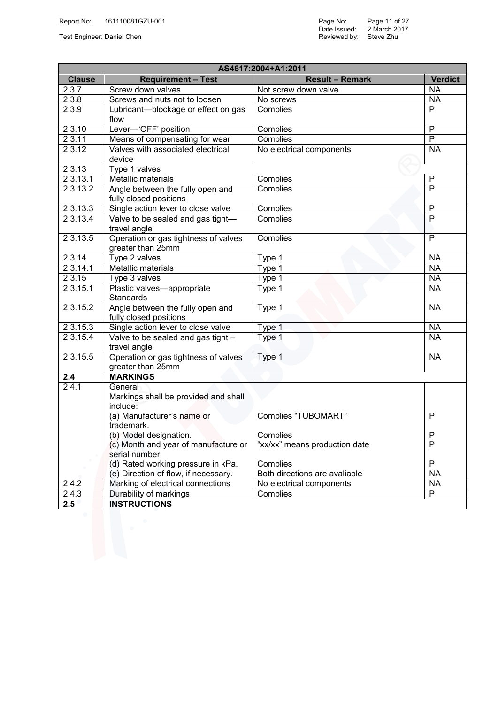| AS4617:2004+A1:2011 |                                                             |                               |                          |  |  |
|---------------------|-------------------------------------------------------------|-------------------------------|--------------------------|--|--|
| <b>Clause</b>       | <b>Requirement - Test</b>                                   | <b>Result - Remark</b>        | <b>Verdict</b>           |  |  |
| 2.3.7               | Screw down valves                                           | Not screw down valve          | <b>NA</b>                |  |  |
| 2.3.8               | Screws and nuts not to loosen                               | No screws                     | <b>NA</b>                |  |  |
| 2.3.9               | Lubricant-blockage or effect on gas<br>flow                 | <b>Complies</b>               | $\overline{P}$           |  |  |
| 2.3.10              | Lever-'OFF' position                                        | <b>Complies</b>               | $\overline{P}$           |  |  |
| 2.3.11              | Means of compensating for wear                              | <b>Complies</b>               | $\overline{\mathsf{P}}$  |  |  |
| 2.3.12              | Valves with associated electrical                           | No electrical components      | $\overline{\mathsf{NA}}$ |  |  |
|                     | device                                                      |                               |                          |  |  |
| 2.3.13              | Type 1 valves                                               |                               |                          |  |  |
| 2.3.13.1            | <b>Metallic materials</b>                                   | Complies                      | P                        |  |  |
| 2.3.13.2            | Angle between the fully open and<br>fully closed positions  | Complies                      | $\overline{P}$           |  |  |
| 2.3.13.3            | Single action lever to close valve                          | Complies                      | $\overline{P}$           |  |  |
| 2.3.13.4            | Valve to be sealed and gas tight-<br>travel angle           | Complies                      | $\overline{P}$           |  |  |
| 2.3.13.5            | Operation or gas tightness of valves<br>greater than 25mm   | Complies                      | $\overline{P}$           |  |  |
| 2.3.14              | Type 2 valves                                               | Type 1                        | <b>NA</b>                |  |  |
| 2.3.14.1            | <b>Metallic materials</b>                                   | Type 1                        | <b>NA</b>                |  |  |
| 2.3.15              | Type 3 valves                                               | Type 1                        | <b>NA</b>                |  |  |
| 2.3.15.1            | Plastic valves-appropriate<br><b>Standards</b>              | Type 1                        | <b>NA</b>                |  |  |
| 2.3.15.2            | Angle between the fully open and<br>fully closed positions  | Type 1                        | <b>NA</b>                |  |  |
| 2.3.15.3            | Single action lever to close valve                          | Type 1                        | <b>NA</b>                |  |  |
| 2.3.15.4            | Valve to be sealed and gas tight -<br>travel angle          | Type 1                        | <b>NA</b>                |  |  |
| 2.3.15.5            | Operation or gas tightness of valves<br>greater than 25mm   | Type 1                        | <b>NA</b>                |  |  |
| 2.4                 | <b>MARKINGS</b>                                             |                               |                          |  |  |
| 2.4.1               | General<br>Markings shall be provided and shall<br>include: |                               |                          |  |  |
|                     | (a) Manufacturer's name or<br>trademark.                    | Complies "TUBOMART"           | P                        |  |  |
|                     | (b) Model designation.                                      | Complies                      | P                        |  |  |
|                     | (c) Month and year of manufacture or<br>serial number.      | "xx/xx" means production date | P                        |  |  |
|                     | (d) Rated working pressure in kPa.                          | Complies                      | P                        |  |  |
|                     | (e) Direction of flow, if necessary.                        | Both directions are avaliable | <b>NA</b>                |  |  |
| 2.4.2               | Marking of electrical connections                           | No electrical components      | <b>NA</b>                |  |  |
| 2.4.3               | Durability of markings                                      | Complies                      | $\overline{P}$           |  |  |
| 2.5                 | <b>INSTRUCTIONS</b>                                         |                               |                          |  |  |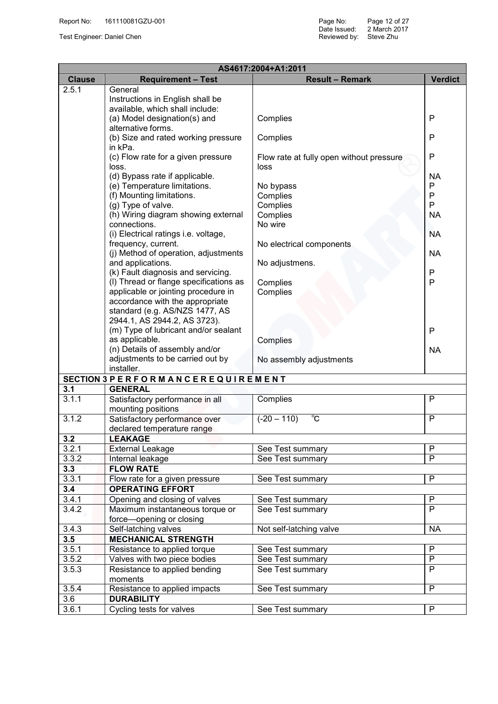|                  | AS4617:2004+A1:2011                                            |                                          |                |  |  |  |
|------------------|----------------------------------------------------------------|------------------------------------------|----------------|--|--|--|
| <b>Clause</b>    | <b>Requirement - Test</b>                                      | <b>Result - Remark</b>                   | <b>Verdict</b> |  |  |  |
| 2.5.1            | General                                                        |                                          |                |  |  |  |
|                  | Instructions in English shall be                               |                                          |                |  |  |  |
|                  | available, which shall include:                                |                                          |                |  |  |  |
|                  | (a) Model designation(s) and                                   | Complies                                 | P              |  |  |  |
|                  | alternative forms.                                             |                                          |                |  |  |  |
|                  | (b) Size and rated working pressure                            | Complies                                 | P              |  |  |  |
|                  | in kPa.                                                        |                                          |                |  |  |  |
|                  | (c) Flow rate for a given pressure                             | Flow rate at fully open without pressure | P              |  |  |  |
|                  | loss.                                                          | loss                                     |                |  |  |  |
|                  | (d) Bypass rate if applicable.<br>(e) Temperature limitations. | No bypass                                | <b>NA</b><br>P |  |  |  |
|                  | (f) Mounting limitations.                                      | Complies                                 | P              |  |  |  |
|                  | (g) Type of valve.                                             | Complies                                 | P              |  |  |  |
|                  | (h) Wiring diagram showing external                            | Complies                                 | <b>NA</b>      |  |  |  |
|                  | connections.                                                   | No wire                                  |                |  |  |  |
|                  | (i) Electrical ratings i.e. voltage,                           |                                          | <b>NA</b>      |  |  |  |
|                  | frequency, current.                                            | No electrical components                 |                |  |  |  |
|                  | (j) Method of operation, adjustments                           |                                          | <b>NA</b>      |  |  |  |
|                  | and applications.                                              | No adjustmens.                           |                |  |  |  |
|                  | (k) Fault diagnosis and servicing.                             |                                          | P              |  |  |  |
|                  | (I) Thread or flange specifications as                         | Complies                                 | P              |  |  |  |
|                  | applicable or jointing procedure in                            | Complies                                 |                |  |  |  |
|                  | accordance with the appropriate                                |                                          |                |  |  |  |
|                  | standard (e.g. AS/NZS 1477, AS                                 |                                          |                |  |  |  |
|                  | 2944.1, AS 2944.2, AS 3723).                                   |                                          |                |  |  |  |
|                  | (m) Type of lubricant and/or sealant                           |                                          | P              |  |  |  |
|                  | as applicable.<br>(n) Details of assembly and/or               | Complies                                 |                |  |  |  |
|                  | adjustments to be carried out by                               | No assembly adjustments                  | <b>NA</b>      |  |  |  |
|                  | installer.                                                     |                                          |                |  |  |  |
|                  | SECTION 3 PERFORMANCEREQUIREMENT                               |                                          |                |  |  |  |
| $3.\overline{1}$ | <b>GENERAL</b>                                                 |                                          |                |  |  |  |
| 3.1.1            | Satisfactory performance in all                                | Complies                                 | $\overline{P}$ |  |  |  |
|                  | mounting positions                                             |                                          |                |  |  |  |
| 3.1.2            | Satisfactory performance over                                  | $^{\circ}\!{\rm C}$<br>$(-20 - 110)$     | P              |  |  |  |
|                  | declared temperature range                                     |                                          |                |  |  |  |
| 3.2              | <b>LEAKAGE</b>                                                 |                                          |                |  |  |  |
| 3.2.1            | <b>External Leakage</b>                                        | See Test summary                         | $\mathsf{P}$   |  |  |  |
| 3.3.2            | Internal leakage                                               | See Test summary                         | P              |  |  |  |
| 3.3              | <b>FLOW RATE</b>                                               |                                          |                |  |  |  |
| 3.3.1            | Flow rate for a given pressure                                 | See Test summary                         | P              |  |  |  |
| 3.4              | <b>OPERATING EFFORT</b>                                        |                                          |                |  |  |  |
| 3.4.1            | Opening and closing of valves                                  | See Test summary                         | P              |  |  |  |
| 3.4.2            | Maximum instantaneous torque or                                | See Test summary                         | P              |  |  |  |
|                  | force-opening or closing                                       |                                          |                |  |  |  |
| 3.4.3            | Self-latching valves                                           | Not self-latching valve                  | <b>NA</b>      |  |  |  |
| 3.5<br>3.5.1     | <b>MECHANICAL STRENGTH</b><br>Resistance to applied torque     | See Test summary                         | P              |  |  |  |
| 3.5.2            | Valves with two piece bodies                                   | See Test summary                         | $\overline{P}$ |  |  |  |
| 3.5.3            | Resistance to applied bending                                  | See Test summary                         | P              |  |  |  |
|                  | moments                                                        |                                          |                |  |  |  |
| 3.5.4            | Resistance to applied impacts                                  | See Test summary                         | P              |  |  |  |
| 3.6              | <b>DURABILITY</b>                                              |                                          |                |  |  |  |
| 3.6.1            | Cycling tests for valves                                       | See Test summary                         | P              |  |  |  |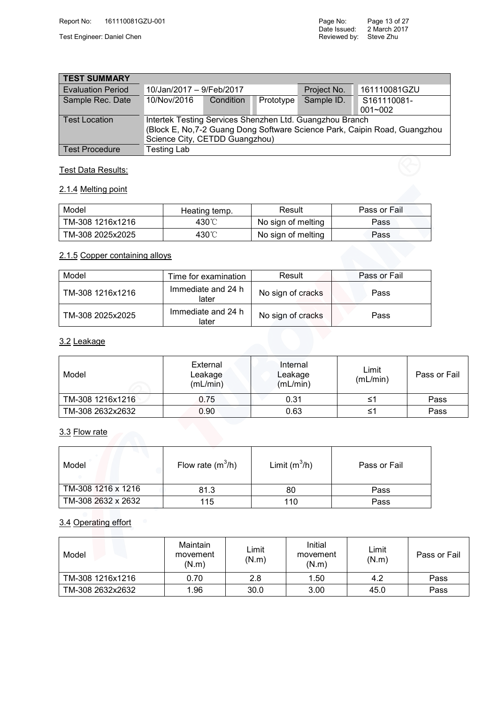| <b>TEST SUMMARY</b>                                                                                                                                                                                             |                          |           |           |             |              |  |  |
|-----------------------------------------------------------------------------------------------------------------------------------------------------------------------------------------------------------------|--------------------------|-----------|-----------|-------------|--------------|--|--|
| <b>Evaluation Period</b>                                                                                                                                                                                        | 10/Jan/2017 - 9/Feb/2017 |           |           | Project No. | 161110081GZU |  |  |
| Sample Rec. Date                                                                                                                                                                                                | 10/Nov/2016              | Condition | Prototype | Sample ID.  | S161110081-  |  |  |
| $001 - 002$<br>Intertek Testing Services Shenzhen Ltd. Guangzhou Branch<br><b>Test Location</b><br>(Block E, No, 7-2 Guang Dong Software Science Park, Caipin Road, Guangzhou<br>Science City, CETDD Guangzhou) |                          |           |           |             |              |  |  |
| <b>Test Procedure</b>                                                                                                                                                                                           | <b>Testing Lab</b>       |           |           |             |              |  |  |

#### Test Data Results:

#### 2.1.4 Melting point

| Model            | Heating temp. | Result             | Pass or Fail |
|------------------|---------------|--------------------|--------------|
| TM-308 1216x1216 | 430℃          | No sign of melting | Pass         |
| TM-308 2025x2025 | 430°C         | No sign of melting | Pass         |

#### 2.1.5 Copper containing alloys

| Model            | Time for examination        | Result            | Pass or Fail |
|------------------|-----------------------------|-------------------|--------------|
| TM-308 1216x1216 | Immediate and 24 h<br>later | No sign of cracks | Pass         |
| TM-308 2025x2025 | Immediate and 24 h<br>later | No sign of cracks | Pass         |
| 3.2 Leakage      |                             |                   |              |

#### 3.2 Leakage

| Model            | External<br>Leakage<br>(mL/min) | Internal<br>Leakage<br>(mL/min) | Limit<br>(mL/min) | Pass or Fail |
|------------------|---------------------------------|---------------------------------|-------------------|--------------|
| TM-308 1216x1216 | 0.75                            | 0.31                            |                   | Pass         |
| TM-308 2632x2632 | 0.90                            | 0.63                            |                   | Pass         |

| 3.3 Flow rate      |                     |                 |              |
|--------------------|---------------------|-----------------|--------------|
| Model              | Flow rate $(m^3/h)$ | Limit $(m^3/h)$ | Pass or Fail |
| TM-308 1216 x 1216 | 81.3                | 80              | Pass         |
| TM-308 2632 x 2632 | 115                 | 110             | Pass         |

#### 3.4 Operating effort

| Model            | Maintain<br>movement<br>(N.m) | Limit<br>(N.m) | Initial<br>movement<br>(N.m) | Limit<br>(N.m) | Pass or Fail |
|------------------|-------------------------------|----------------|------------------------------|----------------|--------------|
| TM-308 1216x1216 | 0.70                          | 2.8            | 1.50                         | 4.2            | Pass         |
| TM-308 2632x2632 | 1.96                          | 30.0           | 3.00                         | 45.0           | Pass         |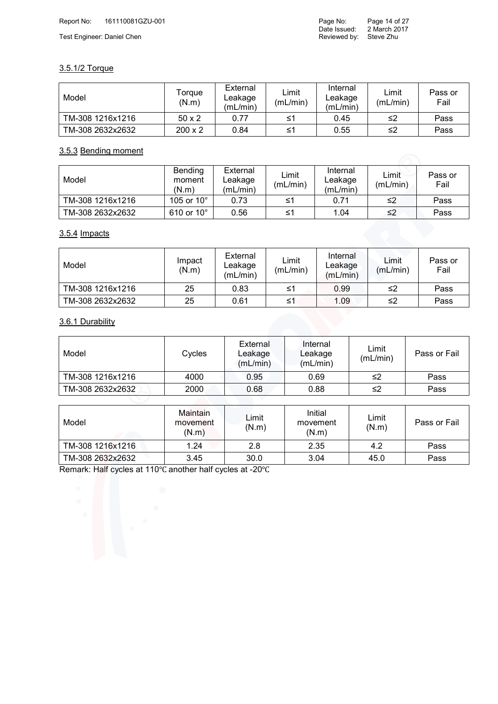#### 3.5.1/2 Torque

| Model            | Torque<br>(N.m) | External<br>Leakage<br>(mL/min) | Limit<br>(mL/min) | Internal<br>Leakage<br>(mL/min) | Limit<br>(mL/min) | Pass or<br>Fail |
|------------------|-----------------|---------------------------------|-------------------|---------------------------------|-------------------|-----------------|
| TM-308 1216x1216 | $50 \times 2$   | 0.77                            | ≤1                | 0.45                            | ≤2                | Pass            |
| TM-308 2632x2632 | $200 \times 2$  | 0.84                            | ≤1                | 0.55                            | ≤2                | Pass            |

#### 3.5.3 Bending moment

| Model            | Bending<br>moment<br>(N.m) | External<br>Leakage<br>(mL/min) | Limit<br>(mL/min) | Internal<br>∟eakage<br>(mL/min) | Limit<br>(mL/min) | Pass or<br>Fail |
|------------------|----------------------------|---------------------------------|-------------------|---------------------------------|-------------------|-----------------|
| TM-308 1216x1216 | 105 or $10^{\circ}$        | 0.73                            | ≤1                | 0.71                            | ≤2                | Pass            |
| TM-308 2632x2632 | 610 or $10^{\circ}$        | 0.56                            | ≤1                | 1.04                            | ≤2                | Pass            |

#### 3.5.4 Impacts

| Model            | Impact<br>(N.m) | External<br>∟eakage<br>(mL/min) | Limit<br>(mL/min) | Internal<br>∟eakage<br>(mL/min) | Limit<br>(mL/min) | Pass or<br>Fail |
|------------------|-----------------|---------------------------------|-------------------|---------------------------------|-------------------|-----------------|
| TM-308 1216x1216 | 25              | 0.83                            | ≤1                | 0.99                            | ≤2                | Pass            |
| TM-308 2632x2632 | 25              | 0.61                            | ≤1                | 1.09                            | ≤2                | Pass            |

#### 3.6.1 Durability

| 3.6.1 Durability |        |                                 |                                 |                   |              |
|------------------|--------|---------------------------------|---------------------------------|-------------------|--------------|
| Model            | Cycles | External<br>Leakage<br>(mL/min) | Internal<br>Leakage<br>(mL/min) | Limit<br>(mL/min) | Pass or Fail |
| TM-308 1216x1216 | 4000   | 0.95                            | 0.69                            | ≤2                | Pass         |
| TM-308 2632x2632 | 2000   | 0.68                            | 0.88                            | ≤2                | Pass         |

| Model            | Maintain<br>movement<br>(N.m) | Limit<br>(N.m) | Initial<br>movement<br>(N.m) | Limit<br>(N.m) | Pass or Fail |
|------------------|-------------------------------|----------------|------------------------------|----------------|--------------|
| TM-308 1216x1216 | 1.24                          | 2.8            | 2.35                         | 4.2            | Pass         |
| TM-308 2632x2632 | 3.45                          | 30.0           | 3.04                         | 45.0           | Pass         |

Remark: Half cycles at 110℃ another half cycles at -20℃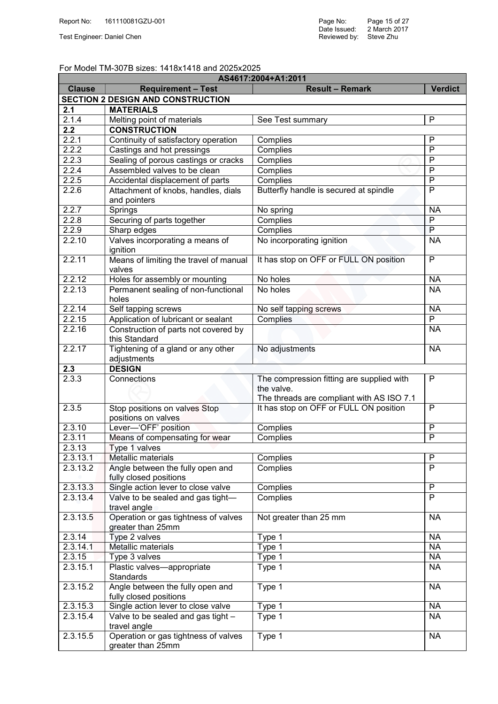#### For Model TM-307B sizes: 1418x1418 and 2025x2025

| AS4617:2004+A1:2011 |                                                                           |                                           |                |  |  |  |
|---------------------|---------------------------------------------------------------------------|-------------------------------------------|----------------|--|--|--|
| <b>Clause</b>       | <b>Requirement - Test</b>                                                 | <b>Result - Remark</b>                    | <b>Verdict</b> |  |  |  |
|                     | <b>SECTION 2 DESIGN AND CONSTRUCTION</b>                                  |                                           |                |  |  |  |
| 2.1                 | <b>MATERIALS</b>                                                          |                                           |                |  |  |  |
| 2.1.4               | Melting point of materials                                                | See Test summary                          | P              |  |  |  |
| 2.2                 | <b>CONSTRUCTION</b>                                                       |                                           |                |  |  |  |
| 2.2.1               | Continuity of satisfactory operation                                      | Complies                                  | P              |  |  |  |
| 2.2.2               | Castings and hot pressings                                                | Complies                                  | $\overline{P}$ |  |  |  |
| 2.2.3               | Sealing of porous castings or cracks                                      | Complies                                  | $\overline{P}$ |  |  |  |
| 2.2.4               | Assembled valves to be clean                                              | Complies                                  | $\mathsf{P}$   |  |  |  |
| 2.2.5               | Accidental displacement of parts                                          | Complies                                  | $\overline{P}$ |  |  |  |
| 2.2.6               | Attachment of knobs, handles, dials<br>and pointers                       | Butterfly handle is secured at spindle    | $\mathsf{P}$   |  |  |  |
| 2.2.7               | Springs                                                                   | No spring                                 | <b>NA</b>      |  |  |  |
| 2.2.8               | Securing of parts together                                                | Complies                                  | $\overline{P}$ |  |  |  |
| 2.2.9               | Sharp edges                                                               | Complies                                  | $\overline{P}$ |  |  |  |
| 2.2.10              | Valves incorporating a means of<br>ignition                               | No incorporating ignition                 | <b>NA</b>      |  |  |  |
| 2.2.11              | Means of limiting the travel of manual<br>valves                          | It has stop on OFF or FULL ON position    | $\overline{P}$ |  |  |  |
| 2.2.12              | Holes for assembly or mounting                                            | No holes                                  | <b>NA</b>      |  |  |  |
| 2.2.13              | Permanent sealing of non-functional<br>holes                              | No holes                                  | <b>NA</b>      |  |  |  |
| 2.2.14              | Self tapping screws                                                       | No self tapping screws                    | <b>NA</b>      |  |  |  |
| 2.2.15              | Application of lubricant or sealant                                       | Complies                                  | $\overline{P}$ |  |  |  |
| 2.2.16              | Construction of parts not covered by<br>this Standard                     |                                           | <b>NA</b>      |  |  |  |
| 2.2.17              | Tightening of a gland or any other<br>adjustments                         | No adjustments                            | <b>NA</b>      |  |  |  |
| 2.3                 | <b>DESIGN</b>                                                             |                                           |                |  |  |  |
| 2.3.3               | Connections                                                               | The compression fitting are supplied with | $\mathsf{P}$   |  |  |  |
|                     |                                                                           | the valve.                                |                |  |  |  |
|                     |                                                                           | The threads are compliant with AS ISO 7.1 |                |  |  |  |
| 2.3.5               | Stop positions on valves Stop<br>positions on valves                      | It has stop on OFF or FULL ON position    | $\mathsf{P}$   |  |  |  |
| 2.3.10              | Lever-'OFF' position                                                      | Complies                                  | $\mathsf{P}$   |  |  |  |
| 2.3.11              | Means of compensating for wear                                            | Complies                                  | $\mathsf{P}$   |  |  |  |
| 2.3.13              | Type 1 valves                                                             |                                           |                |  |  |  |
| 2.3.13.1            | Metallic materials                                                        | Complies                                  | P              |  |  |  |
| 2.3.13.2            | Angle between the fully open and<br>fully closed positions                | Complies                                  | P              |  |  |  |
| 2.3.13.3            | Single action lever to close valve                                        | Complies                                  | $\overline{P}$ |  |  |  |
| 2.3.13.4            | Valve to be sealed and gas tight-<br>travel angle                         | Complies                                  | $\overline{P}$ |  |  |  |
| 2.3.13.5            | Operation or gas tightness of valves<br>greater than 25mm                 | Not greater than 25 mm                    | <b>NA</b>      |  |  |  |
| 2.3.14              | Type 2 valves                                                             | Type 1                                    | <b>NA</b>      |  |  |  |
| 2.3.14.1            | Metallic materials                                                        | Type 1                                    | <b>NA</b>      |  |  |  |
| 2.3.15              | Type 3 valves                                                             | Type 1                                    | <b>NA</b>      |  |  |  |
| 2.3.15.1            | Plastic valves-appropriate<br>Standards                                   | Type 1                                    | <b>NA</b>      |  |  |  |
| 2.3.15.2            | Angle between the fully open and<br>fully closed positions                | Type 1                                    | <b>NA</b>      |  |  |  |
| 2.3.15.3            | Single action lever to close valve                                        | Type 1                                    | <b>NA</b>      |  |  |  |
| 2.3.15.4            | Valve to be sealed and gas tight -                                        | Type 1                                    | <b>NA</b>      |  |  |  |
| 2.3.15.5            | travel angle<br>Operation or gas tightness of valves<br>greater than 25mm | Type 1                                    | <b>NA</b>      |  |  |  |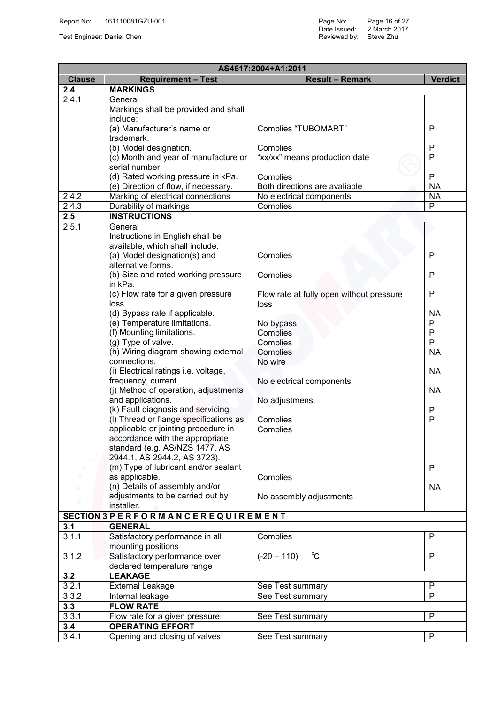| AS4617:2004+A1:2011 |                                                             |                                          |                |  |  |
|---------------------|-------------------------------------------------------------|------------------------------------------|----------------|--|--|
| <b>Clause</b>       | <b>Requirement - Test</b>                                   | <b>Result - Remark</b>                   | <b>Verdict</b> |  |  |
| 2.4                 | <b>MARKINGS</b>                                             |                                          |                |  |  |
| 2.4.1               | General                                                     |                                          |                |  |  |
|                     | Markings shall be provided and shall                        |                                          |                |  |  |
|                     | include:                                                    |                                          |                |  |  |
|                     | (a) Manufacturer's name or                                  | Complies "TUBOMART"                      | P              |  |  |
|                     | trademark.                                                  |                                          |                |  |  |
|                     | (b) Model designation.                                      | Complies                                 | P              |  |  |
|                     | (c) Month and year of manufacture or                        | "xx/xx" means production date            | P              |  |  |
|                     | serial number.                                              |                                          |                |  |  |
|                     | (d) Rated working pressure in kPa.                          | Complies                                 | P              |  |  |
|                     | (e) Direction of flow, if necessary.                        | Both directions are avaliable            | <b>NA</b>      |  |  |
| 2.4.2               | Marking of electrical connections                           | No electrical components                 | <b>NA</b>      |  |  |
| 2.4.3               | Durability of markings                                      | Complies                                 | $\overline{P}$ |  |  |
| 2.5                 | <b>INSTRUCTIONS</b>                                         |                                          |                |  |  |
| 2.5.1               | General                                                     |                                          |                |  |  |
|                     | Instructions in English shall be                            |                                          |                |  |  |
|                     | available, which shall include:                             |                                          |                |  |  |
|                     | (a) Model designation(s) and                                | Complies                                 | P              |  |  |
|                     | alternative forms.                                          |                                          |                |  |  |
|                     | (b) Size and rated working pressure                         | Complies                                 | Ρ              |  |  |
|                     | in kPa.                                                     |                                          |                |  |  |
|                     | (c) Flow rate for a given pressure                          | Flow rate at fully open without pressure | Ρ              |  |  |
|                     | loss.                                                       | loss                                     |                |  |  |
|                     | (d) Bypass rate if applicable.                              |                                          | <b>NA</b>      |  |  |
|                     | (e) Temperature limitations.                                | No bypass                                | Р              |  |  |
|                     | (f) Mounting limitations.                                   | Complies                                 | P              |  |  |
|                     | (g) Type of valve.                                          | Complies                                 | P              |  |  |
|                     | (h) Wiring diagram showing external                         | Complies                                 | NA             |  |  |
|                     | connections.                                                | No wire                                  |                |  |  |
|                     | (i) Electrical ratings i.e. voltage,                        |                                          | <b>NA</b>      |  |  |
|                     | frequency, current.<br>(j) Method of operation, adjustments | No electrical components                 | <b>NA</b>      |  |  |
|                     | and applications.                                           | No adjustmens.                           |                |  |  |
|                     | (k) Fault diagnosis and servicing.                          |                                          | P              |  |  |
|                     | (I) Thread or flange specifications as                      | Complies                                 | P              |  |  |
|                     | applicable or jointing procedure in                         | Complies                                 |                |  |  |
|                     | accordance with the appropriate                             |                                          |                |  |  |
|                     | standard (e.g. AS/NZS 1477, AS                              |                                          |                |  |  |
|                     | 2944.1, AS 2944.2, AS 3723).                                |                                          |                |  |  |
|                     | (m) Type of lubricant and/or sealant                        |                                          | P              |  |  |
|                     | as applicable.                                              | Complies                                 |                |  |  |
|                     | (n) Details of assembly and/or                              |                                          | NA             |  |  |
|                     | adjustments to be carried out by                            | No assembly adjustments                  |                |  |  |
|                     | installer.                                                  |                                          |                |  |  |
|                     | SECTION 3 PERFORMANCEREQUIREMENT                            |                                          |                |  |  |
| 3.1                 | <b>GENERAL</b>                                              |                                          |                |  |  |
| 3.1.1               | Satisfactory performance in all                             | Complies                                 | P              |  |  |
|                     | mounting positions                                          |                                          |                |  |  |
| 3.1.2               | Satisfactory performance over                               | $(-20 - 110)$<br>$\overline{\text{c}}$   | P              |  |  |
|                     | declared temperature range                                  |                                          |                |  |  |
| 3.2                 | <b>LEAKAGE</b>                                              |                                          |                |  |  |
| 3.2.1               | <b>External Leakage</b>                                     | See Test summary                         | P              |  |  |
| 3.3.2               | Internal leakage                                            | See Test summary                         | P              |  |  |
| 3.3                 | <b>FLOW RATE</b>                                            |                                          |                |  |  |
| 3.3.1               | Flow rate for a given pressure                              | See Test summary                         | $\overline{P}$ |  |  |
| 3.4                 | <b>OPERATING EFFORT</b>                                     |                                          |                |  |  |
| 3.4.1               | Opening and closing of valves                               | See Test summary                         | $\mathsf{P}$   |  |  |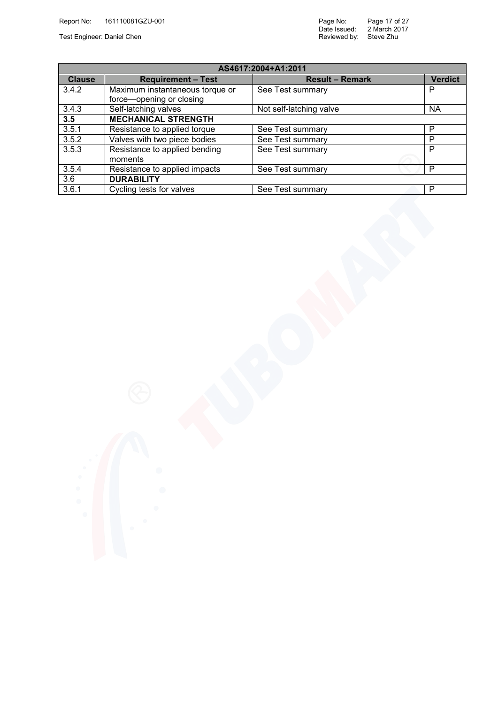Date Issued: Reviewed by: Page 17 of 27 2 March 2017 Test Engineer: Daniel Chen Steve Zhu Steve Zhu Steve Zhu Steve Zhu Steve Zhu Steve Zhu Steve Zhu Steve Zhu Steve

| AS4617:2004+A1:2011 |                                 |                         |                |  |  |  |
|---------------------|---------------------------------|-------------------------|----------------|--|--|--|
| <b>Clause</b>       | <b>Requirement - Test</b>       | <b>Result - Remark</b>  | <b>Verdict</b> |  |  |  |
| 3.4.2               | Maximum instantaneous torque or | See Test summary        | P              |  |  |  |
|                     | force-opening or closing        |                         |                |  |  |  |
| 3.4.3               | Self-latching valves            | Not self-latching valve | <b>NA</b>      |  |  |  |
| 3.5                 | <b>MECHANICAL STRENGTH</b>      |                         |                |  |  |  |
| 3.5.1               | Resistance to applied torque    | See Test summary        | P              |  |  |  |
| 3.5.2               | Valves with two piece bodies    | See Test summary        | P              |  |  |  |
| 3.5.3               | Resistance to applied bending   | See Test summary        | P              |  |  |  |
|                     | moments                         |                         |                |  |  |  |
| 3.5.4               | Resistance to applied impacts   | See Test summary        | P              |  |  |  |
| 3.6                 | <b>DURABILITY</b>               |                         |                |  |  |  |
| 3.6.1               | Cycling tests for valves        | See Test summary        | P              |  |  |  |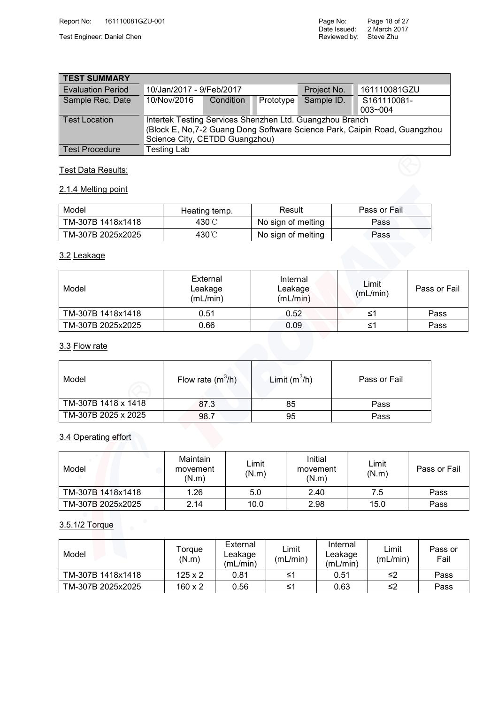Test Engineer: Daniel Chen Steve Zhu Steve Zhu Steve Zhu Steve Zhu Steve Zhu Steve Zhu Steve Zhu Steve Zhu Steve

| <b>TEST SUMMARY</b>      |                                                                                                                                                                          |           |           |             |                            |
|--------------------------|--------------------------------------------------------------------------------------------------------------------------------------------------------------------------|-----------|-----------|-------------|----------------------------|
| <b>Evaluation Period</b> | 10/Jan/2017 - 9/Feb/2017                                                                                                                                                 |           |           | Project No. | 161110081GZU               |
| Sample Rec. Date         | 10/Nov/2016                                                                                                                                                              | Condition | Prototype | Sample ID.  | S161110081-<br>$003 - 004$ |
| <b>Test Location</b>     | Intertek Testing Services Shenzhen Ltd. Guangzhou Branch<br>(Block E, No, 7-2 Guang Dong Software Science Park, Caipin Road, Guangzhou<br>Science City, CETDD Guangzhou) |           |           |             |                            |
| <b>Test Procedure</b>    | <b>Testing Lab</b>                                                                                                                                                       |           |           |             |                            |

#### **Test Data Results:**

#### 2.1.4 Melting point

| Model             | Heating temp. | Result             | Pass or Fail |
|-------------------|---------------|--------------------|--------------|
| TM-307B 1418x1418 | 430℃          | No sign of melting | Pass         |
| TM-307B 2025x2025 | 430℃          | No sign of melting | Pass         |

#### 3.2 Leakage

| Model             | External<br>Leakage<br>(mL/min) | Internal<br>Leakage<br>(mL/min) | Limit<br>(mL/min) | Pass or Fail |
|-------------------|---------------------------------|---------------------------------|-------------------|--------------|
| TM-307B 1418x1418 | 0.51                            | 0.52                            |                   | Pass         |
| TM-307B 2025x2025 | 0.66                            | 0.09                            |                   | Pass         |

#### 3.3 Flow rate

| Model               | Flow rate $(m^3/h)$ | Limit $(m^3/h)$ | Pass or Fail |
|---------------------|---------------------|-----------------|--------------|
| TM-307B 1418 x 1418 | 87.3                | 85              | Pass         |
| TM-307B 2025 x 2025 | 98.7                | 95              | Pass         |

# 3.4 Operating effort

| Model             | Maintain<br>movement<br>(N.m) | Limit<br>(N.m) | Initial<br>movement<br>(N.m) | Limit<br>(N.m) | Pass or Fail |
|-------------------|-------------------------------|----------------|------------------------------|----------------|--------------|
| TM-307B 1418x1418 | 1.26                          | 5.0            | 2.40                         | 7.5            | Pass         |
| TM-307B 2025x2025 | 2.14                          | 10.0           | 2.98                         | 15.0           | Pass         |

#### 3.5.1/2 Torque

| Model             | Torque<br>(N.m) | External<br>Leakage<br>(mL/min) | Limit<br>(mL/min) | Internal<br>∟eakage<br>(mL/min) | $\mathsf{\mathsf{\mathsf{\mathsf{L}}}{}{}{}{}{}_{\mathsf{im}\mathsf{it}\mathsf{t}}$<br>(mL/min) | Pass or<br>Fail |
|-------------------|-----------------|---------------------------------|-------------------|---------------------------------|-------------------------------------------------------------------------------------------------|-----------------|
| TM-307B 1418x1418 | $125 \times 2$  | 0.81                            | ≤1                | 0.51                            | ≤2                                                                                              | Pass            |
| TM-307B 2025x2025 | $160 \times 2$  | 0.56                            | ≤1                | 0.63                            | ≤2                                                                                              | Pass            |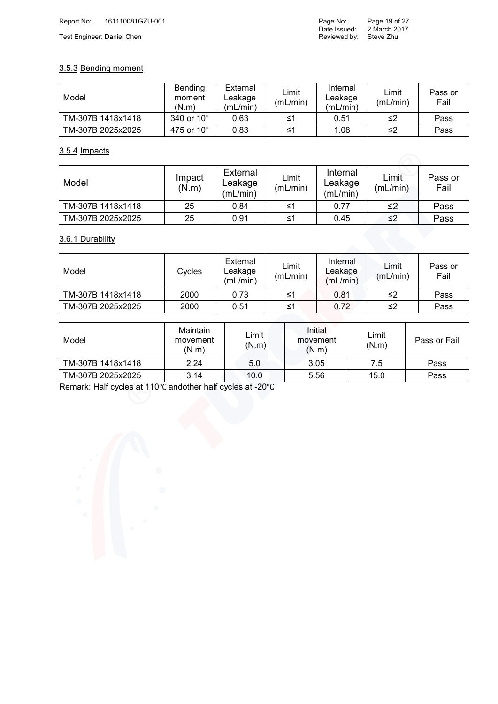#### 3.5.3 Bending moment

| Model             | Bending<br>moment<br>(N.m) | External<br>∟eakage<br>(mL/min) | Limit<br>(mL/min) | Internal<br>∟eakage<br>(mL/min) | Limit<br>(mL/min) | Pass or<br>Fail |
|-------------------|----------------------------|---------------------------------|-------------------|---------------------------------|-------------------|-----------------|
| TM-307B 1418x1418 | 340 or $10^{\circ}$        | 0.63                            | ≤1                | 0.51                            | ≤2                | Pass            |
| TM-307B 2025x2025 | 475 or 10°                 | 0.83                            | ≤1                | 1.08                            | ≤2                | Pass            |

#### 3.5.4 Impacts

| Model             | Impact<br>(N.m) | External<br>Leakage<br>(mL/min) | Limit<br>(mL/min) | Internal<br>Leakage<br>(mL/min) | Limit<br>(mL/min) | Pass or<br>Fail |
|-------------------|-----------------|---------------------------------|-------------------|---------------------------------|-------------------|-----------------|
| TM-307B 1418x1418 | 25              | 0.84                            | ≤1                | 0.77                            | ≤2                | Pass            |
| TM-307B 2025x2025 | 25              | 0.91                            | ≤1                | 0.45                            | ≤2                | Pass            |

#### 3.6.1 Durability

| Model             | Cycles | External<br>∟eakage<br>(mL/min) | Limit<br>(mL/min) | Internal<br>∟eakage<br>(mL/min) | ∟imit<br>(mL/min) | Pass or<br>Fail |
|-------------------|--------|---------------------------------|-------------------|---------------------------------|-------------------|-----------------|
| TM-307B 1418x1418 | 2000   | 0.73                            | ≤1                | 0.81                            | ≤2                | Pass            |
| TM-307B 2025x2025 | 2000   | 0.51                            | ≤1                | 0.72                            | ≤2                | Pass            |

| Model             | Maintain<br>movement<br>(N.m) | Limit<br>(N.m) | Initial<br>movement<br>(N.m) | Limit<br>(N.m) | Pass or Fail |
|-------------------|-------------------------------|----------------|------------------------------|----------------|--------------|
| TM-307B 1418x1418 | 2.24                          | 5.0            | 3.05                         | 7.5            | Pass         |
| TM-307B 2025x2025 | 3.14                          | 10.0           | 5.56                         | 15.0           | Pass         |

Remark: Half cycles at 110℃ andother half cycles at -20℃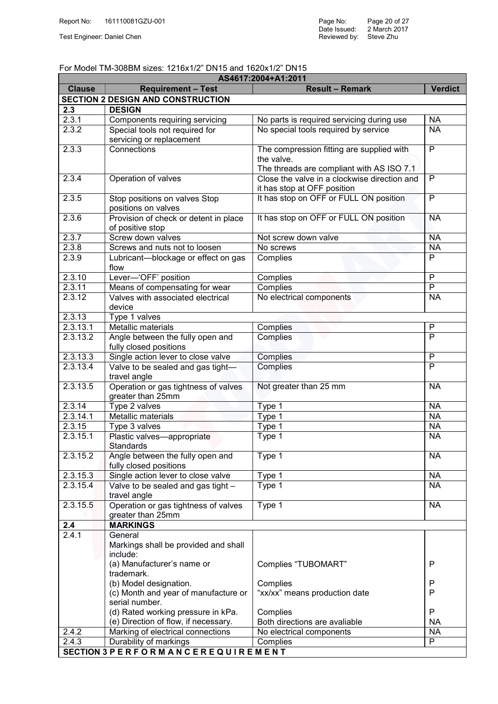#### For Model TM-308BM sizes: 1216x1/2" DN15 and 1620x1/2" DN15

| AS4617:2004+A1:2011  |                                                      |                                              |                 |  |  |  |  |
|----------------------|------------------------------------------------------|----------------------------------------------|-----------------|--|--|--|--|
| <b>Clause</b>        | <b>Requirement - Test</b>                            | <b>Result - Remark</b>                       | <b>Verdict</b>  |  |  |  |  |
|                      | <b>SECTION 2 DESIGN AND CONSTRUCTION</b>             |                                              |                 |  |  |  |  |
| 2.3                  | <b>DESIGN</b>                                        |                                              |                 |  |  |  |  |
| 2.3.1                | Components requiring servicing                       | No parts is required servicing during use    | <b>NA</b>       |  |  |  |  |
| 2.3.2                | Special tools not required for                       | No special tools required by service         | <b>NA</b>       |  |  |  |  |
|                      | servicing or replacement                             |                                              |                 |  |  |  |  |
| 2.3.3                | Connections                                          | The compression fitting are supplied with    | $\overline{P}$  |  |  |  |  |
|                      |                                                      | the valve.                                   |                 |  |  |  |  |
|                      |                                                      | The threads are compliant with AS ISO 7.1    |                 |  |  |  |  |
| 2.3.4                | Operation of valves                                  | Close the valve in a clockwise direction and | $\overline{P}$  |  |  |  |  |
|                      |                                                      | it has stop at OFF position                  |                 |  |  |  |  |
| 2.3.5                | Stop positions on valves Stop                        | It has stop on OFF or FULL ON position       | $\overline{P}$  |  |  |  |  |
|                      | positions on valves                                  |                                              |                 |  |  |  |  |
| 2.3.6                | Provision of check or detent in place                | It has stop on OFF or FULL ON position       | <b>NA</b>       |  |  |  |  |
|                      | of positive stop                                     |                                              |                 |  |  |  |  |
| 2.3.7                | Screw down valves                                    | Not screw down valve                         | <b>NA</b>       |  |  |  |  |
| 2.3.8                | Screws and nuts not to loosen                        | No screws                                    | <b>NA</b>       |  |  |  |  |
| 2.3.9                | Lubricant-blockage or effect on gas                  | Complies                                     | $\overline{P}$  |  |  |  |  |
|                      | flow                                                 |                                              |                 |  |  |  |  |
| 2.3.10               | Lever-'OFF' position                                 | Complies                                     | $\overline{P}$  |  |  |  |  |
| 2.3.11               | Means of compensating for wear                       | Complies                                     | $\overline{P}$  |  |  |  |  |
| 2.3.12               | Valves with associated electrical                    | No electrical components                     | <b>NA</b>       |  |  |  |  |
|                      | device                                               |                                              |                 |  |  |  |  |
| 2.3.13               | Type 1 valves                                        |                                              |                 |  |  |  |  |
| 2.3.13.1             | Metallic materials                                   | Complies                                     | $\mathsf{P}$    |  |  |  |  |
| 2.3.13.2             | Angle between the fully open and                     | Complies                                     | $\overline{P}$  |  |  |  |  |
|                      | fully closed positions                               |                                              |                 |  |  |  |  |
| 2.3.13.3             | Single action lever to close valve                   | Complies                                     | $\overline{P}$  |  |  |  |  |
| 2.3.13.4             | Valve to be sealed and gas tight-                    | Complies                                     | $\overline{P}$  |  |  |  |  |
|                      | travel angle                                         |                                              |                 |  |  |  |  |
| 2.3.13.5             | Operation or gas tightness of valves                 | Not greater than 25 mm                       | <b>NA</b>       |  |  |  |  |
|                      | greater than 25mm                                    |                                              |                 |  |  |  |  |
| 2.3.14               | Type 2 valves                                        | Type 1                                       | <b>NA</b>       |  |  |  |  |
| 2.3.14.1             | Metallic materials                                   | Type 1                                       | <b>NA</b>       |  |  |  |  |
| 2.3.15               | Type 3 valves                                        | Type 1                                       | <b>NA</b>       |  |  |  |  |
| 2.3.15.1             | Plastic valves-appropriate                           | $Type$ 1                                     | <b>NA</b>       |  |  |  |  |
|                      | <b>Standards</b>                                     |                                              |                 |  |  |  |  |
| 2.3.15.2             | Angle between the fully open and                     | Type 1                                       | <b>NA</b>       |  |  |  |  |
|                      | fully closed positions                               |                                              |                 |  |  |  |  |
| 2.3.15.3<br>2.3.15.4 | Single action lever to close valve                   | Type 1                                       | <b>NA</b><br>NA |  |  |  |  |
|                      | Valve to be sealed and gas tight -                   | Type 1                                       |                 |  |  |  |  |
| 2.3.15.5             | travel angle<br>Operation or gas tightness of valves | Type 1                                       | <b>NA</b>       |  |  |  |  |
|                      | greater than 25mm                                    |                                              |                 |  |  |  |  |
| 2.4                  | <b>MARKINGS</b>                                      |                                              |                 |  |  |  |  |
| 2.4.1                | General                                              |                                              |                 |  |  |  |  |
|                      | Markings shall be provided and shall                 |                                              |                 |  |  |  |  |
|                      | include:                                             |                                              |                 |  |  |  |  |
|                      | (a) Manufacturer's name or                           | Complies "TUBOMART"                          | P               |  |  |  |  |
|                      | trademark.                                           |                                              |                 |  |  |  |  |
|                      | (b) Model designation.                               | Complies                                     | $\mathsf{P}$    |  |  |  |  |
|                      | (c) Month and year of manufacture or                 | "xx/xx" means production date                | $\mathsf{P}$    |  |  |  |  |
|                      | serial number.                                       |                                              |                 |  |  |  |  |
|                      | (d) Rated working pressure in kPa.                   | Complies                                     | P               |  |  |  |  |
|                      | (e) Direction of flow, if necessary.                 | Both directions are avaliable                | <b>NA</b>       |  |  |  |  |
| 2.4.2                | Marking of electrical connections                    | No electrical components                     | <b>NA</b>       |  |  |  |  |
| 2.4.3                | Durability of markings                               | Complies                                     | P               |  |  |  |  |
|                      | SECTION 3 PERFORMANCEREQUIREMENT                     |                                              |                 |  |  |  |  |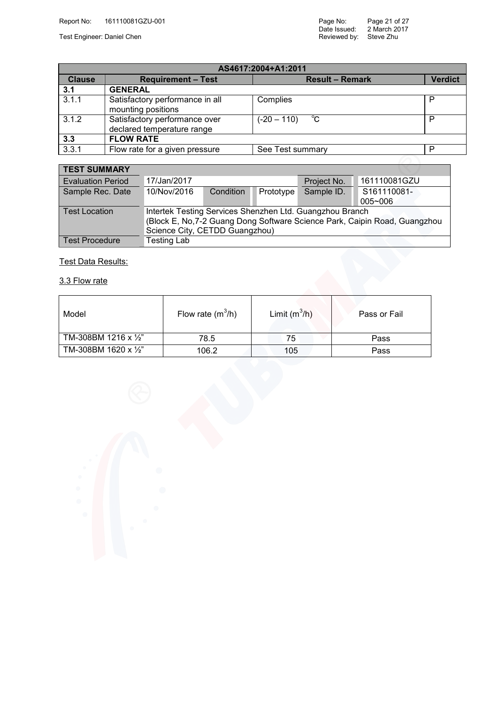Test Engineer: Daniel Chen Steve Zhu Steve Zhu Steve Zhu Steve Zhu Steve Zhu Steve Zhu Steve Zhu Steve Zhu Steve

| AS4617:2004+A1:2011 |                                                             |                              |                |  |  |  |
|---------------------|-------------------------------------------------------------|------------------------------|----------------|--|--|--|
| <b>Clause</b>       | <b>Requirement - Test</b>                                   | <b>Result - Remark</b>       | <b>Verdict</b> |  |  |  |
| 3.1                 | <b>GENERAL</b>                                              |                              |                |  |  |  |
| 3.1.1               | Satisfactory performance in all<br>mounting positions       | Complies                     | P              |  |  |  |
| 3.1.2               | Satisfactory performance over<br>declared temperature range | $^{\circ}C$<br>$(-20 - 110)$ | P              |  |  |  |
| 3.3                 | <b>FLOW RATE</b>                                            |                              |                |  |  |  |
| 3.3.1               | Flow rate for a given pressure                              | See Test summary             | P              |  |  |  |
|                     |                                                             |                              |                |  |  |  |

| <b>TEST SUMMARY</b>      |                                                                            |           |           |             |              |  |
|--------------------------|----------------------------------------------------------------------------|-----------|-----------|-------------|--------------|--|
| <b>Evaluation Period</b> | 17/Jan/2017                                                                |           |           | Project No. | 161110081GZU |  |
| Sample Rec. Date         | 10/Nov/2016                                                                | Condition | Prototype | Sample ID.  | S161110081-  |  |
|                          |                                                                            |           |           |             | $005 - 006$  |  |
| <b>Test Location</b>     | Intertek Testing Services Shenzhen Ltd. Guangzhou Branch                   |           |           |             |              |  |
|                          | (Block E, No, 7-2 Guang Dong Software Science Park, Caipin Road, Guangzhou |           |           |             |              |  |
|                          | Science City, CETDD Guangzhou)                                             |           |           |             |              |  |
| <b>Test Procedure</b>    | <b>Testing Lab</b>                                                         |           |           |             |              |  |

#### Test Data Results:

#### 3.3 Flow rate

| Model                         | Flow rate $(m^3/h)$ | Limit $(m^3/h)$ | Pass or Fail |
|-------------------------------|---------------------|-----------------|--------------|
| TM-308BM 1216 x $\frac{1}{2}$ | 78.5                | 75              | Pass         |
| TM-308BM 1620 x 1/2"          | 106.2               | 105             | Pass         |

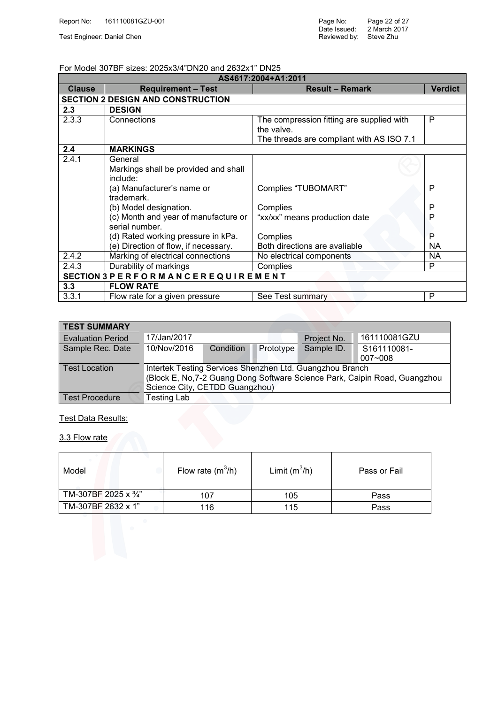#### For Model 307BF sizes: 2025x3/4"DN20 and 2632x1" DN25

| AS4617:2004+A1:2011 |                                                        |                                                         |                |  |  |  |  |
|---------------------|--------------------------------------------------------|---------------------------------------------------------|----------------|--|--|--|--|
| <b>Clause</b>       | <b>Requirement - Test</b>                              | <b>Result - Remark</b>                                  | <b>Verdict</b> |  |  |  |  |
|                     | <b>SECTION 2 DESIGN AND CONSTRUCTION</b>               |                                                         |                |  |  |  |  |
| 2.3                 | <b>DESIGN</b>                                          |                                                         |                |  |  |  |  |
| 2.3.3               | Connections                                            | The compression fitting are supplied with<br>the valve. | P              |  |  |  |  |
|                     |                                                        | The threads are compliant with AS ISO 7.1               |                |  |  |  |  |
| 2.4                 | <b>MARKINGS</b>                                        |                                                         |                |  |  |  |  |
| 2.4.1               | General                                                |                                                         |                |  |  |  |  |
|                     | Markings shall be provided and shall                   |                                                         |                |  |  |  |  |
|                     | include:                                               |                                                         |                |  |  |  |  |
|                     | (a) Manufacturer's name or                             | Complies "TUBOMART"                                     | P              |  |  |  |  |
|                     | trademark.                                             |                                                         |                |  |  |  |  |
|                     | (b) Model designation.                                 | Complies                                                | P              |  |  |  |  |
|                     | (c) Month and year of manufacture or<br>serial number. | "xx/xx" means production date                           | P              |  |  |  |  |
|                     | (d) Rated working pressure in kPa.                     | Complies                                                | P              |  |  |  |  |
|                     | (e) Direction of flow, if necessary.                   | Both directions are avaliable                           | <b>NA</b>      |  |  |  |  |
| 2.4.2               | Marking of electrical connections                      | No electrical components                                | NA.            |  |  |  |  |
| 2.4.3               | Durability of markings                                 | Complies                                                | P              |  |  |  |  |
|                     | SECTION 3 PERFORM ANCEREQUIREMENT                      |                                                         |                |  |  |  |  |
| 3.3                 | <b>FLOW RATE</b>                                       |                                                         |                |  |  |  |  |
| 3.3.1               | Flow rate for a given pressure                         | See Test summary                                        | P              |  |  |  |  |

| <b>TEST SUMMARY</b>      |                                                                                                                                                                          |                  |           |             |                            |  |
|--------------------------|--------------------------------------------------------------------------------------------------------------------------------------------------------------------------|------------------|-----------|-------------|----------------------------|--|
| <b>Evaluation Period</b> | 17/Jan/2017                                                                                                                                                              |                  |           | Project No. | 161110081GZU               |  |
| Sample Rec. Date         | 10/Nov/2016                                                                                                                                                              | <b>Condition</b> | Prototype | Sample ID.  | S161110081-<br>$007 - 008$ |  |
| <b>Test Location</b>     | Intertek Testing Services Shenzhen Ltd. Guangzhou Branch<br>(Block E, No, 7-2 Guang Dong Software Science Park, Caipin Road, Guangzhou<br>Science City, CETDD Guangzhou) |                  |           |             |                            |  |
| <b>Test Procedure</b>    | Testing Lab                                                                                                                                                              |                  |           |             |                            |  |
| Test Data Results:       |                                                                                                                                                                          |                  |           |             |                            |  |
| 3.3 Flow rate            |                                                                                                                                                                          |                  |           |             |                            |  |

#### **Test Data Results:**

| 3.3 Flow rate        |                     |                 |              |
|----------------------|---------------------|-----------------|--------------|
| Model                | Flow rate $(m^3/h)$ | Limit $(m^3/h)$ | Pass or Fail |
| TM-307BF 2025 x 3/4" | 107                 | 105             | Pass         |
| TM-307BF 2632 x 1"   | 116                 | 115             | Pass         |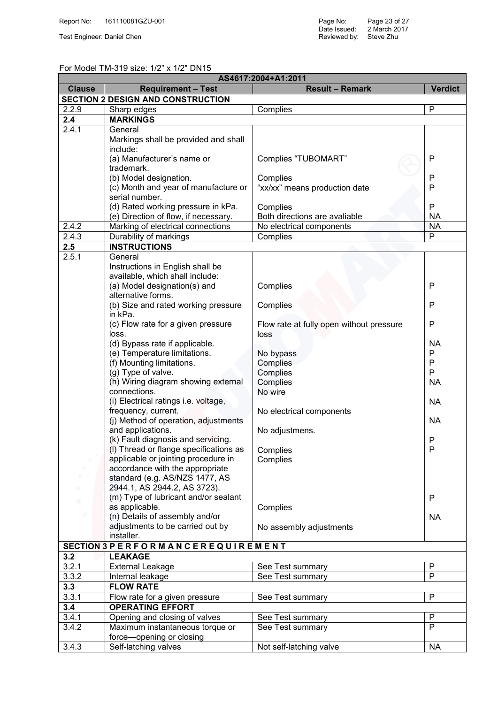#### For Model TM-319 size: 1/2" x 1/2" DN15

| AS4617:2004+A1:2011 |                                                                      |                                          |                |  |  |  |
|---------------------|----------------------------------------------------------------------|------------------------------------------|----------------|--|--|--|
| <b>Clause</b>       | <b>Requirement - Test</b>                                            | <b>Result - Remark</b>                   | <b>Verdict</b> |  |  |  |
|                     | <b>SECTION 2 DESIGN AND CONSTRUCTION</b>                             |                                          |                |  |  |  |
| 2.2.9               | Sharp edges                                                          | Complies                                 | P              |  |  |  |
| 2.4                 | <b>MARKINGS</b>                                                      |                                          |                |  |  |  |
| 2.4.1               | General                                                              |                                          |                |  |  |  |
|                     | Markings shall be provided and shall                                 |                                          |                |  |  |  |
|                     | include:                                                             |                                          |                |  |  |  |
|                     | (a) Manufacturer's name or                                           | Complies "TUBOMART"                      | P              |  |  |  |
|                     | trademark.                                                           |                                          |                |  |  |  |
|                     | (b) Model designation.                                               | Complies                                 | P              |  |  |  |
|                     | (c) Month and year of manufacture or                                 | "xx/xx" means production date            | P              |  |  |  |
|                     | serial number.                                                       |                                          |                |  |  |  |
|                     | (d) Rated working pressure in kPa.                                   | Complies                                 | P              |  |  |  |
|                     | (e) Direction of flow, if necessary.                                 | Both directions are avaliable            | <b>NA</b>      |  |  |  |
| 2.4.2               | Marking of electrical connections                                    | No electrical components                 | <b>NA</b>      |  |  |  |
| 2.4.3               | Durability of markings                                               | Complies                                 | $\overline{P}$ |  |  |  |
| 2.5                 | <b>INSTRUCTIONS</b>                                                  |                                          |                |  |  |  |
| 2.5.1               | General                                                              |                                          |                |  |  |  |
|                     | Instructions in English shall be                                     |                                          |                |  |  |  |
|                     | available, which shall include:                                      |                                          |                |  |  |  |
|                     | (a) Model designation(s) and                                         | Complies                                 | P              |  |  |  |
|                     | alternative forms.                                                   |                                          |                |  |  |  |
|                     | (b) Size and rated working pressure                                  | Complies                                 | P              |  |  |  |
|                     | in kPa.                                                              |                                          |                |  |  |  |
|                     | (c) Flow rate for a given pressure                                   | Flow rate at fully open without pressure | P              |  |  |  |
|                     | loss.                                                                | loss                                     |                |  |  |  |
|                     | (d) Bypass rate if applicable.                                       |                                          | <b>NA</b>      |  |  |  |
|                     | (e) Temperature limitations.                                         | No bypass                                | P              |  |  |  |
|                     | (f) Mounting limitations.                                            | Complies                                 | P              |  |  |  |
|                     | (g) Type of valve.                                                   | Complies                                 | P              |  |  |  |
|                     | (h) Wiring diagram showing external                                  | Complies                                 | <b>NA</b>      |  |  |  |
|                     | connections.                                                         | No wire                                  |                |  |  |  |
|                     | (i) Electrical ratings i.e. voltage,                                 |                                          | <b>NA</b>      |  |  |  |
|                     | frequency, current.                                                  | No electrical components                 |                |  |  |  |
|                     | (j) Method of operation, adjustments                                 |                                          | <b>NA</b>      |  |  |  |
|                     | and applications.                                                    | No adjustmens.                           |                |  |  |  |
|                     | (k) Fault diagnosis and servicing.                                   |                                          | P              |  |  |  |
|                     | (I) Thread or flange specifications as                               | Complies                                 | P              |  |  |  |
|                     | applicable or jointing procedure in                                  | Complies                                 |                |  |  |  |
|                     | accordance with the appropriate                                      |                                          |                |  |  |  |
|                     | standard (e.g. AS/NZS 1477, AS                                       |                                          |                |  |  |  |
|                     | 2944.1, AS 2944.2, AS 3723).<br>(m) Type of lubricant and/or sealant |                                          |                |  |  |  |
|                     | as applicable.                                                       |                                          | P              |  |  |  |
|                     | (n) Details of assembly and/or                                       | Complies                                 |                |  |  |  |
|                     | adjustments to be carried out by                                     |                                          | <b>NA</b>      |  |  |  |
|                     | installer.                                                           | No assembly adjustments                  |                |  |  |  |
|                     | SECTION 3 PERFORMANCEREQUIREMENT                                     |                                          |                |  |  |  |
|                     | <b>LEAKAGE</b>                                                       |                                          |                |  |  |  |
| 3.2                 |                                                                      |                                          | P              |  |  |  |
| 3.2.1               | <b>External Leakage</b>                                              | See Test summary                         | P              |  |  |  |
| 3.3.2               | Internal leakage                                                     | See Test summary                         |                |  |  |  |
| 3.3                 | <b>FLOW RATE</b>                                                     |                                          |                |  |  |  |
| 3.3.1               | Flow rate for a given pressure                                       | See Test summary                         | P              |  |  |  |
| 3.4                 | <b>OPERATING EFFORT</b>                                              |                                          |                |  |  |  |
| 3.4.1               | Opening and closing of valves                                        | See Test summary                         | P              |  |  |  |
| 3.4.2               | Maximum instantaneous torque or                                      | See Test summary                         | P              |  |  |  |
|                     | force-opening or closing                                             |                                          |                |  |  |  |
| 3.4.3               | Self-latching valves                                                 | Not self-latching valve                  | NA             |  |  |  |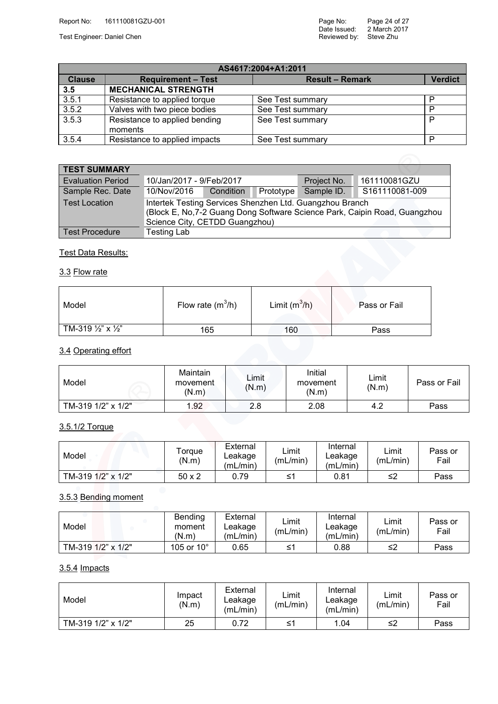Test Engineer: Daniel Chen Steve Zhu Steve Zhu Steve Zhu Steve Zhu Steve Zhu Steve Zhu Steve Zhu Steve Zhu Steve

|               | AS4617:2004+A1:2011                      |                        |                |  |  |  |  |
|---------------|------------------------------------------|------------------------|----------------|--|--|--|--|
| <b>Clause</b> | <b>Requirement - Test</b>                | <b>Result - Remark</b> | <b>Verdict</b> |  |  |  |  |
| 3.5           | <b>MECHANICAL STRENGTH</b>               |                        |                |  |  |  |  |
| 3.5.1         | Resistance to applied torque             | See Test summary       | Р              |  |  |  |  |
| 3.5.2         | Valves with two piece bodies             | See Test summary       | P              |  |  |  |  |
| 3.5.3         | Resistance to applied bending<br>moments | See Test summary       | P              |  |  |  |  |
| 3.5.4         | Resistance to applied impacts            | See Test summary       | P              |  |  |  |  |

| <b>TEST SUMMARY</b>      |                          |                                                                                                                                                                          |           |             |                |  |
|--------------------------|--------------------------|--------------------------------------------------------------------------------------------------------------------------------------------------------------------------|-----------|-------------|----------------|--|
| <b>Evaluation Period</b> | 10/Jan/2017 - 9/Feb/2017 |                                                                                                                                                                          |           | Project No. | 161110081GZU   |  |
| Sample Rec. Date         | 10/Nov/2016              | Condition                                                                                                                                                                | Prototype | Sample ID.  | S161110081-009 |  |
| <b>Test Location</b>     |                          | Intertek Testing Services Shenzhen Ltd. Guangzhou Branch<br>(Block E, No, 7-2 Guang Dong Software Science Park, Caipin Road, Guangzhou<br>Science City, CETDD Guangzhou) |           |             |                |  |
| <b>Test Procedure</b>    | <b>Testing Lab</b>       |                                                                                                                                                                          |           |             |                |  |

#### **Test Data Results:**

#### 3.3 Flow rate

| Model                                    | Flow rate $(m^3/h)$ | Limit $(m^3/h)$ | Pass or Fail |
|------------------------------------------|---------------------|-----------------|--------------|
| TM-319 $\frac{1}{2}$ " x $\frac{1}{2}$ " | 165                 | 160             | Pass         |

#### 3.4 Operating effort

| Model              | Maintain<br>movement<br>(N.m) | Limit<br>(N.m) | Initial<br>movement<br>(N.m) | Limit<br>(N.m) | Pass or Fail |
|--------------------|-------------------------------|----------------|------------------------------|----------------|--------------|
| TM-319 1/2" x 1/2" | 1.92                          | 2.8            | 2.08                         | 4.2            | Pass         |

## 3.5.1/2 Torque

| Model              | Torque<br>(N.m) | External<br>Leakage<br>(mL/min) | _imit<br>(mL/min) | Internal<br>∟eakage<br>(mL/min) | Limit<br>(mL/min) | Pass or<br>Fail |
|--------------------|-----------------|---------------------------------|-------------------|---------------------------------|-------------------|-----------------|
| TM-319 1/2" x 1/2" | 50 x 2          | 0.79                            | ≤1                | 0.81                            | ≤2                | Pass            |

#### 3.5.3 Bending moment

| Model              | Bending<br>moment<br>(N.m) | External<br>Leakage<br>(mL/min) | ∟imit<br>(mL/min) | Internal<br>∟eakage<br>(mL/min) | $\mathsf{\sqcup}\mathsf{imit}$<br>(mL/min) | Pass or<br>Fail |
|--------------------|----------------------------|---------------------------------|-------------------|---------------------------------|--------------------------------------------|-----------------|
| TM-319 1/2" x 1/2" | 105 or $10^{\circ}$        | 0.65                            | _≤1               | 0.88                            | ≤2                                         | Pass            |
|                    |                            |                                 |                   |                                 |                                            |                 |

#### 3.5.4 Impacts

| Model              | Impact<br>(N.m) | External<br>Leakage<br>(mL/min) | ∟imit<br>(mL/min) | Internal<br>∟eakage<br>(mL/min) | Limit<br>(mL/min) | Pass or<br>Fail |
|--------------------|-----------------|---------------------------------|-------------------|---------------------------------|-------------------|-----------------|
| TM-319 1/2" x 1/2" | 25              | 0.72                            | ≤1                | 1.04                            | ≤2                | Pass            |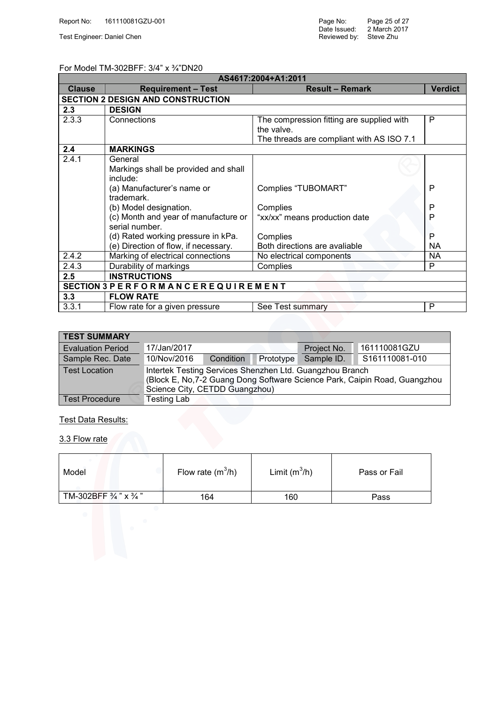Test Engineer: Daniel Chen Steve Zhu Steve Zhu Steve Zhu Steve Zhu Steve Zhu Steve Zhu Steve Zhu Steve Zhu Steve

#### For Model TM-302BFF: 3/4" x ¾"DN20

| AS4617:2004+A1:2011 |                                          |                                           |                |  |  |  |  |
|---------------------|------------------------------------------|-------------------------------------------|----------------|--|--|--|--|
| <b>Clause</b>       | <b>Requirement - Test</b>                | <b>Result - Remark</b>                    | <b>Verdict</b> |  |  |  |  |
|                     | <b>SECTION 2 DESIGN AND CONSTRUCTION</b> |                                           |                |  |  |  |  |
| 2.3                 | <b>DESIGN</b>                            |                                           |                |  |  |  |  |
| 2.3.3               | Connections                              | The compression fitting are supplied with | P              |  |  |  |  |
|                     |                                          | the valve.                                |                |  |  |  |  |
|                     |                                          | The threads are compliant with AS ISO 7.1 |                |  |  |  |  |
| 2.4                 | <b>MARKINGS</b>                          |                                           |                |  |  |  |  |
| 2.4.1               | General                                  |                                           |                |  |  |  |  |
|                     | Markings shall be provided and shall     |                                           |                |  |  |  |  |
|                     | include:                                 |                                           |                |  |  |  |  |
|                     | (a) Manufacturer's name or               | Complies "TUBOMART"                       | $\mathsf{P}$   |  |  |  |  |
|                     | trademark.                               |                                           |                |  |  |  |  |
|                     | (b) Model designation.                   | Complies                                  | P              |  |  |  |  |
|                     | (c) Month and year of manufacture or     | "xx/xx" means production date             | P              |  |  |  |  |
|                     | serial number.                           |                                           |                |  |  |  |  |
|                     | (d) Rated working pressure in kPa.       | Complies                                  | P              |  |  |  |  |
|                     | (e) Direction of flow, if necessary.     | Both directions are avaliable             | <b>NA</b>      |  |  |  |  |
| 2.4.2               | Marking of electrical connections        | No electrical components                  | <b>NA</b>      |  |  |  |  |
| 2.4.3               | Durability of markings                   | Complies                                  | P              |  |  |  |  |
| 2.5                 | <b>INSTRUCTIONS</b>                      |                                           |                |  |  |  |  |
|                     | SECTION 3 PERFORM ANCEREQUIREMENT        |                                           |                |  |  |  |  |
| 3.3                 | <b>FLOW RATE</b>                         |                                           |                |  |  |  |  |
| 3.3.1               | Flow rate for a given pressure           | See Test summary                          | P              |  |  |  |  |

| <b>TEST SUMMARY</b>      |                                                                                                                                                                          |           |           |             |                |  |
|--------------------------|--------------------------------------------------------------------------------------------------------------------------------------------------------------------------|-----------|-----------|-------------|----------------|--|
| <b>Evaluation Period</b> | 17/Jan/2017                                                                                                                                                              |           |           | Project No. | 161110081GZU   |  |
| Sample Rec. Date         | 10/Nov/2016                                                                                                                                                              | Condition | Prototype | Sample ID.  | S161110081-010 |  |
| <b>Test Location</b>     | Intertek Testing Services Shenzhen Ltd. Guangzhou Branch<br>(Block E, No, 7-2 Guang Dong Software Science Park, Caipin Road, Guangzhou<br>Science City, CETDD Guangzhou) |           |           |             |                |  |
| <b>Test Procedure</b>    | Testing Lab                                                                                                                                                              |           |           |             |                |  |

### Test Data Results:

3.3 Flow rate

| Model                                       | Flow rate $(m^3/h)$ | Limit $(m^3/h)$ | Pass or Fail |
|---------------------------------------------|---------------------|-----------------|--------------|
| TM-302BFF $\frac{3}{4}$ " x $\frac{3}{4}$ " | 164                 | 160             | Pass         |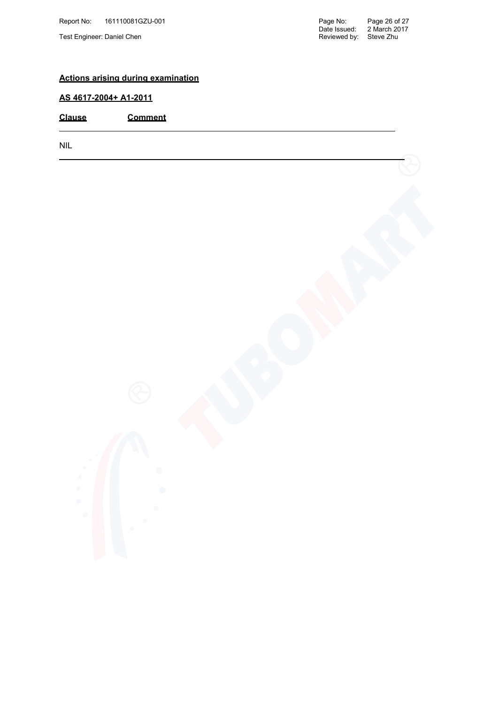#### **Actions arising during examination**

#### **AS 4617-2004+ A1-2011**

**Clause Comment**

NIL